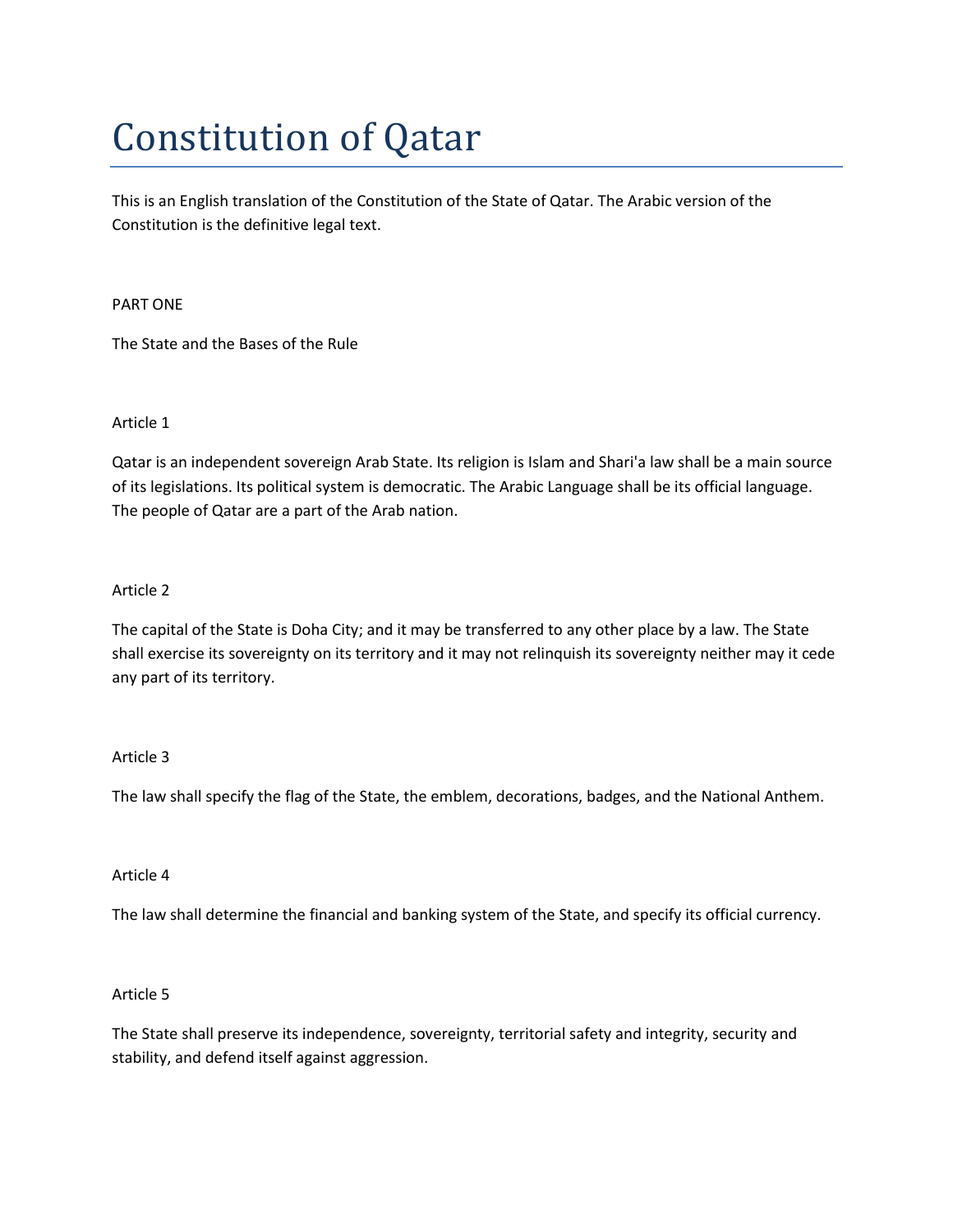# Constitution of Qatar

This is an English translation of the Constitution of the State of Qatar. The Arabic version of the Constitution is the definitive legal text.

# PART ONE

The State and the Bases of the Rule

# Article 1

Qatar is an independent sovereign Arab State. Its religion is Islam and Shari'a law shall be a main source of its legislations. Its political system is democratic. The Arabic Language shall be its official language. The people of Qatar are a part of the Arab nation.

# Article 2

The capital of the State is Doha City; and it may be transferred to any other place by a law. The State shall exercise its sovereignty on its territory and it may not relinquish its sovereignty neither may it cede any part of its territory.

# Article 3

The law shall specify the flag of the State, the emblem, decorations, badges, and the National Anthem.

# Article 4

The law shall determine the financial and banking system of the State, and specify its official currency.

# Article 5

The State shall preserve its independence, sovereignty, territorial safety and integrity, security and stability, and defend itself against aggression.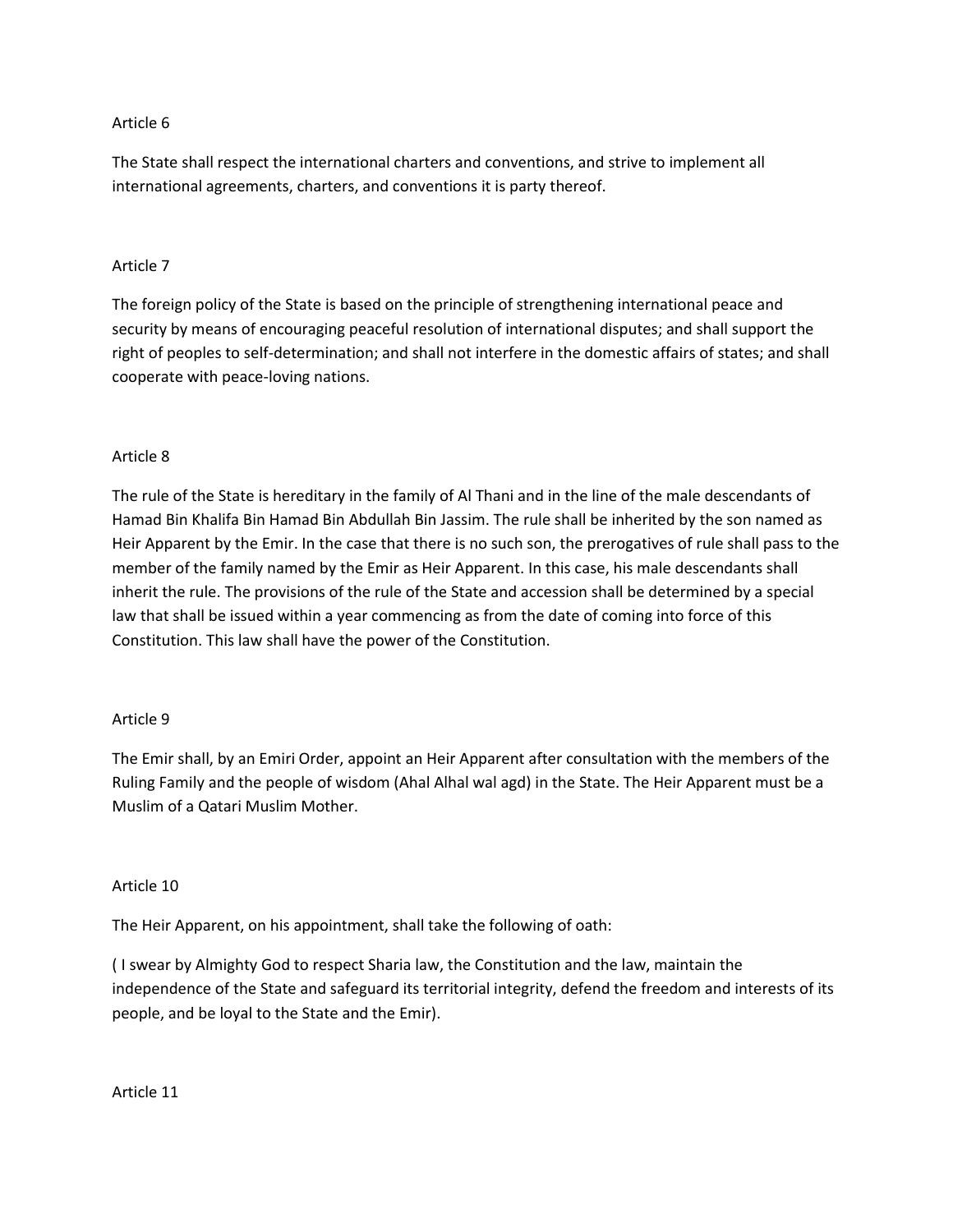The State shall respect the international charters and conventions, and strive to implement all international agreements, charters, and conventions it is party thereof.

# Article 7

The foreign policy of the State is based on the principle of strengthening international peace and security by means of encouraging peaceful resolution of international disputes; and shall support the right of peoples to self-determination; and shall not interfere in the domestic affairs of states; and shall cooperate with peace-loving nations.

# Article 8

The rule of the State is hereditary in the family of Al Thani and in the line of the male descendants of Hamad Bin Khalifa Bin Hamad Bin Abdullah Bin Jassim. The rule shall be inherited by the son named as Heir Apparent by the Emir. In the case that there is no such son, the prerogatives of rule shall pass to the member of the family named by the Emir as Heir Apparent. In this case, his male descendants shall inherit the rule. The provisions of the rule of the State and accession shall be determined by a special law that shall be issued within a year commencing as from the date of coming into force of this Constitution. This law shall have the power of the Constitution.

# Article 9

The Emir shall, by an Emiri Order, appoint an Heir Apparent after consultation with the members of the Ruling Family and the people of wisdom (Ahal Alhal wal agd) in the State. The Heir Apparent must be a Muslim of a Qatari Muslim Mother.

# Article 10

The Heir Apparent, on his appointment, shall take the following of oath:

( I swear by Almighty God to respect Sharia law, the Constitution and the law, maintain the independence of the State and safeguard its territorial integrity, defend the freedom and interests of its people, and be loyal to the State and the Emir).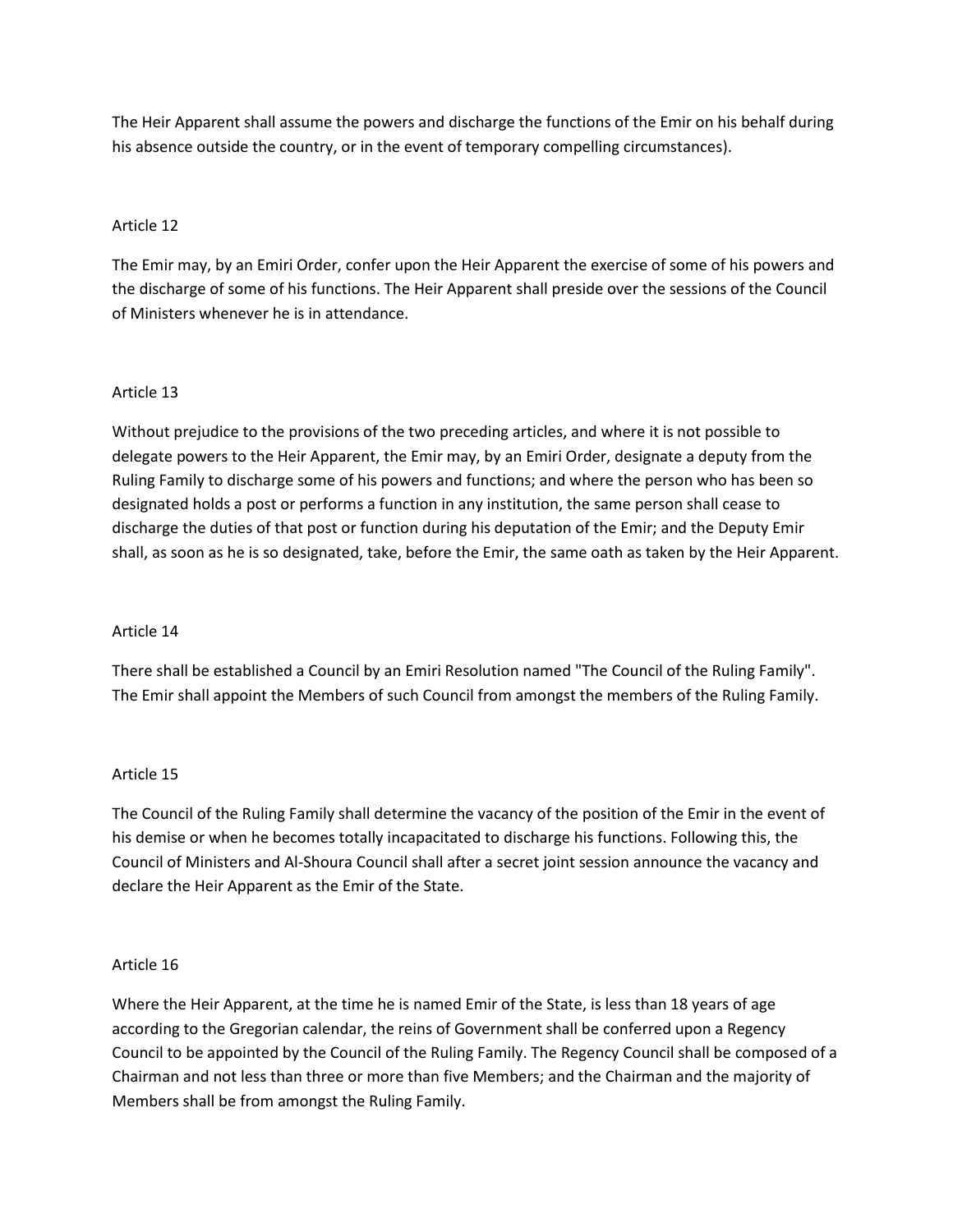The Heir Apparent shall assume the powers and discharge the functions of the Emir on his behalf during his absence outside the country, or in the event of temporary compelling circumstances).

# Article 12

The Emir may, by an Emiri Order, confer upon the Heir Apparent the exercise of some of his powers and the discharge of some of his functions. The Heir Apparent shall preside over the sessions of the Council of Ministers whenever he is in attendance.

# Article 13

Without prejudice to the provisions of the two preceding articles, and where it is not possible to delegate powers to the Heir Apparent, the Emir may, by an Emiri Order, designate a deputy from the Ruling Family to discharge some of his powers and functions; and where the person who has been so designated holds a post or performs a function in any institution, the same person shall cease to discharge the duties of that post or function during his deputation of the Emir; and the Deputy Emir shall, as soon as he is so designated, take, before the Emir, the same oath as taken by the Heir Apparent.

# Article 14

There shall be established a Council by an Emiri Resolution named "The Council of the Ruling Family". The Emir shall appoint the Members of such Council from amongst the members of the Ruling Family.

# Article 15

The Council of the Ruling Family shall determine the vacancy of the position of the Emir in the event of his demise or when he becomes totally incapacitated to discharge his functions. Following this, the Council of Ministers and Al-Shoura Council shall after a secret joint session announce the vacancy and declare the Heir Apparent as the Emir of the State.

# Article 16

Where the Heir Apparent, at the time he is named Emir of the State, is less than 18 years of age according to the Gregorian calendar, the reins of Government shall be conferred upon a Regency Council to be appointed by the Council of the Ruling Family. The Regency Council shall be composed of a Chairman and not less than three or more than five Members; and the Chairman and the majority of Members shall be from amongst the Ruling Family.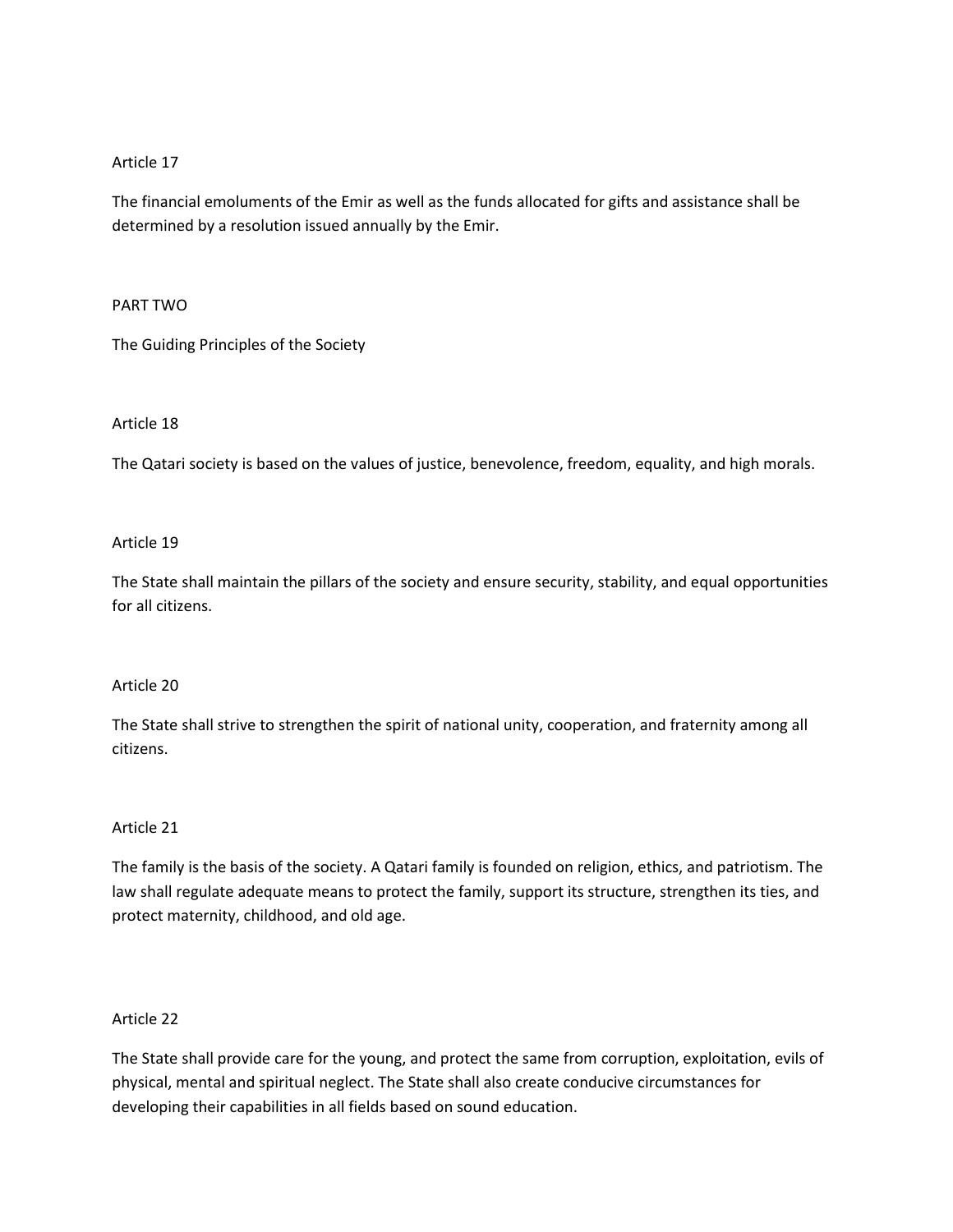The financial emoluments of the Emir as well as the funds allocated for gifts and assistance shall be determined by a resolution issued annually by the Emir.

#### PART TWO

The Guiding Principles of the Society

#### Article 18

The Qatari society is based on the values of justice, benevolence, freedom, equality, and high morals.

#### Article 19

The State shall maintain the pillars of the society and ensure security, stability, and equal opportunities for all citizens.

#### Article 20

The State shall strive to strengthen the spirit of national unity, cooperation, and fraternity among all citizens.

#### Article 21

The family is the basis of the society. A Qatari family is founded on religion, ethics, and patriotism. The law shall regulate adequate means to protect the family, support its structure, strengthen its ties, and protect maternity, childhood, and old age.

#### Article 22

The State shall provide care for the young, and protect the same from corruption, exploitation, evils of physical, mental and spiritual neglect. The State shall also create conducive circumstances for developing their capabilities in all fields based on sound education.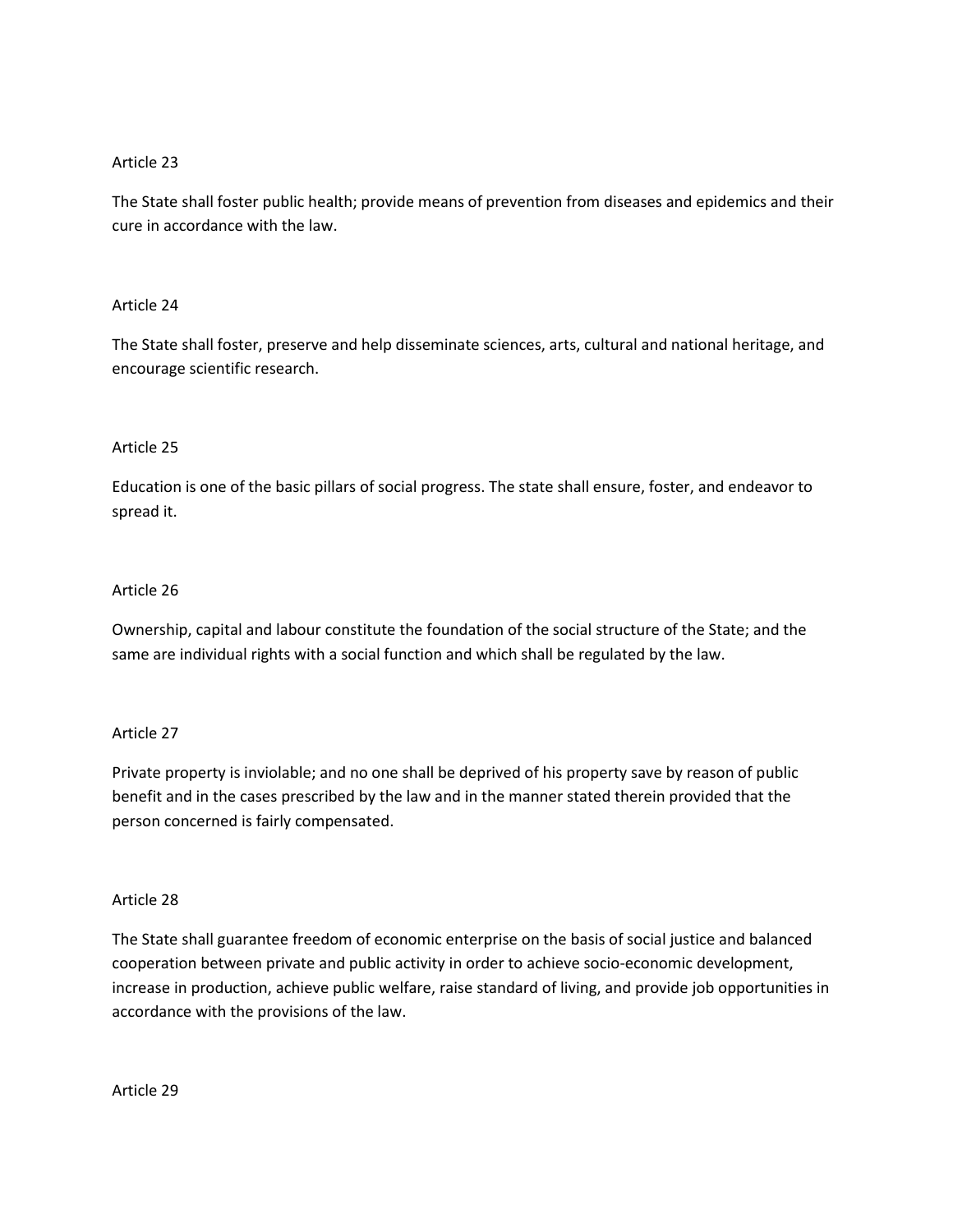The State shall foster public health; provide means of prevention from diseases and epidemics and their cure in accordance with the law.

# Article 24

The State shall foster, preserve and help disseminate sciences, arts, cultural and national heritage, and encourage scientific research.

# Article 25

Education is one of the basic pillars of social progress. The state shall ensure, foster, and endeavor to spread it.

#### Article 26

Ownership, capital and labour constitute the foundation of the social structure of the State; and the same are individual rights with a social function and which shall be regulated by the law.

# Article 27

Private property is inviolable; and no one shall be deprived of his property save by reason of public benefit and in the cases prescribed by the law and in the manner stated therein provided that the person concerned is fairly compensated.

#### Article 28

The State shall guarantee freedom of economic enterprise on the basis of social justice and balanced cooperation between private and public activity in order to achieve socio-economic development, increase in production, achieve public welfare, raise standard of living, and provide job opportunities in accordance with the provisions of the law.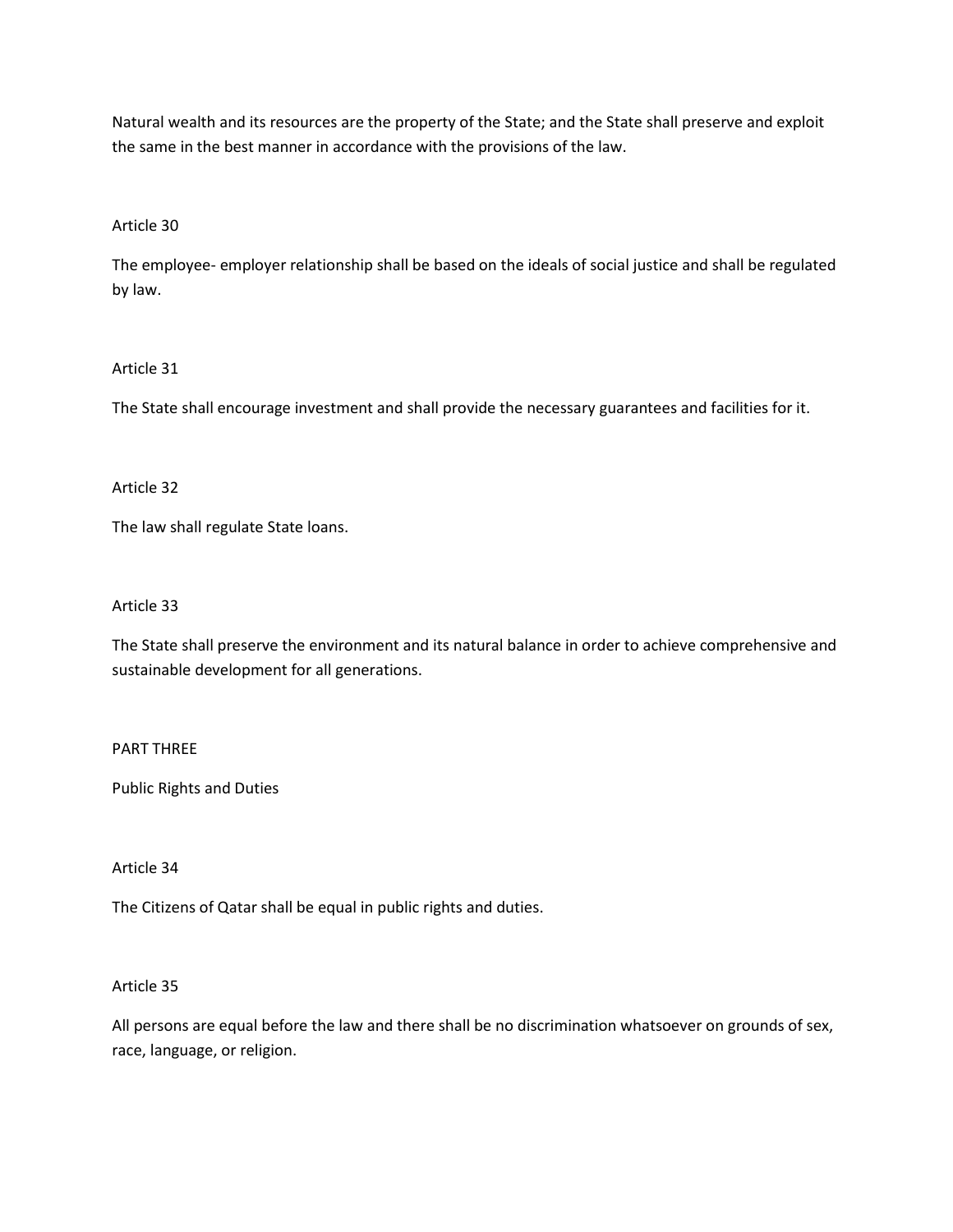Natural wealth and its resources are the property of the State; and the State shall preserve and exploit the same in the best manner in accordance with the provisions of the law.

#### Article 30

The employee- employer relationship shall be based on the ideals of social justice and shall be regulated by law.

#### Article 31

The State shall encourage investment and shall provide the necessary guarantees and facilities for it.

#### Article 32

The law shall regulate State loans.

#### Article 33

The State shall preserve the environment and its natural balance in order to achieve comprehensive and sustainable development for all generations.

#### PART THREE

Public Rights and Duties

#### Article 34

The Citizens of Qatar shall be equal in public rights and duties.

#### Article 35

All persons are equal before the law and there shall be no discrimination whatsoever on grounds of sex, race, language, or religion.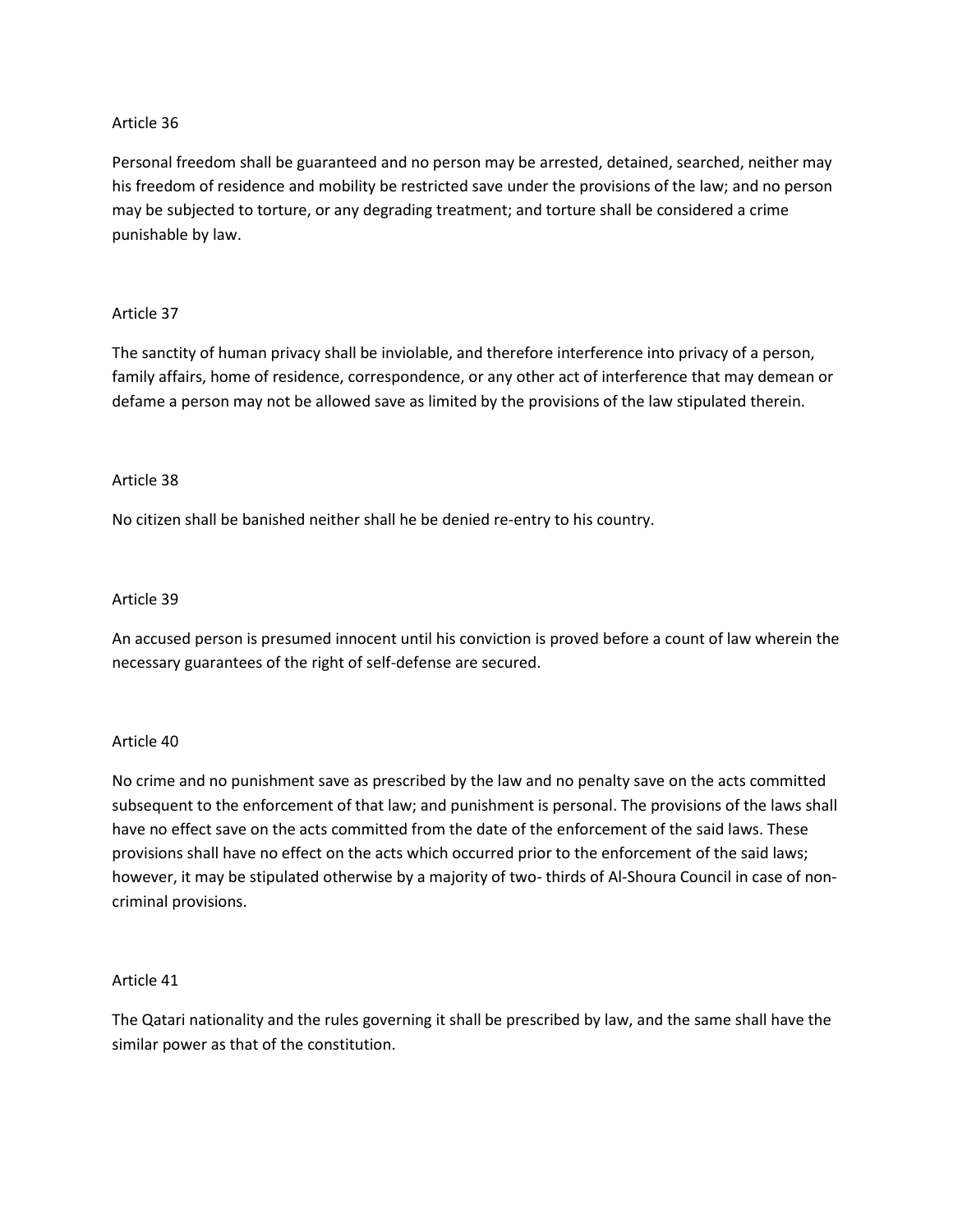Personal freedom shall be guaranteed and no person may be arrested, detained, searched, neither may his freedom of residence and mobility be restricted save under the provisions of the law; and no person may be subjected to torture, or any degrading treatment; and torture shall be considered a crime punishable by law.

# Article 37

The sanctity of human privacy shall be inviolable, and therefore interference into privacy of a person, family affairs, home of residence, correspondence, or any other act of interference that may demean or defame a person may not be allowed save as limited by the provisions of the law stipulated therein.

# Article 38

No citizen shall be banished neither shall he be denied re-entry to his country.

# Article 39

An accused person is presumed innocent until his conviction is proved before a count of law wherein the necessary guarantees of the right of self-defense are secured.

# Article 40

No crime and no punishment save as prescribed by the law and no penalty save on the acts committed subsequent to the enforcement of that law; and punishment is personal. The provisions of the laws shall have no effect save on the acts committed from the date of the enforcement of the said laws. These provisions shall have no effect on the acts which occurred prior to the enforcement of the said laws; however, it may be stipulated otherwise by a majority of two- thirds of Al-Shoura Council in case of noncriminal provisions.

# Article 41

The Qatari nationality and the rules governing it shall be prescribed by law, and the same shall have the similar power as that of the constitution.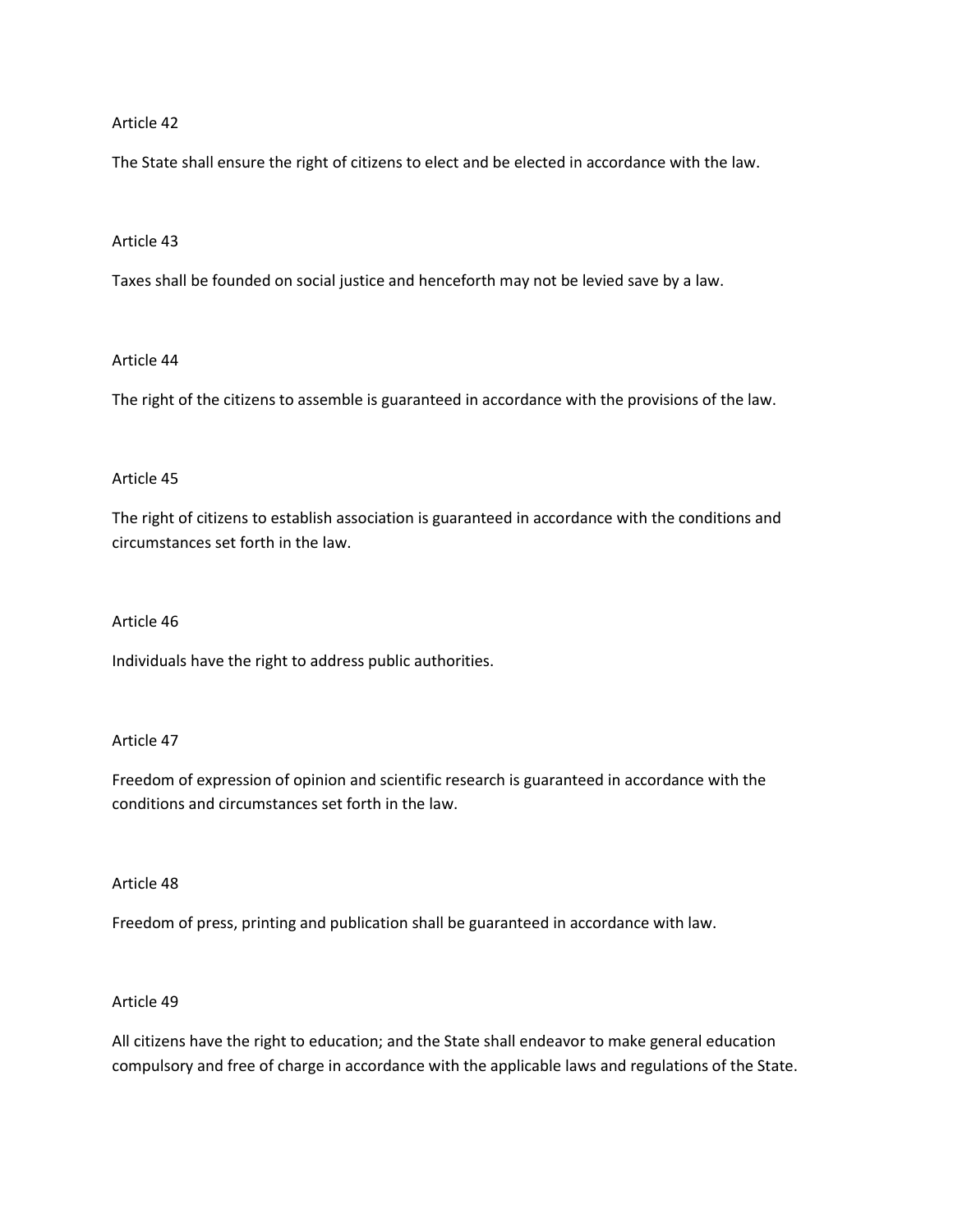The State shall ensure the right of citizens to elect and be elected in accordance with the law.

#### Article 43

Taxes shall be founded on social justice and henceforth may not be levied save by a law.

#### Article 44

The right of the citizens to assemble is guaranteed in accordance with the provisions of the law.

#### Article 45

The right of citizens to establish association is guaranteed in accordance with the conditions and circumstances set forth in the law.

#### Article 46

Individuals have the right to address public authorities.

#### Article 47

Freedom of expression of opinion and scientific research is guaranteed in accordance with the conditions and circumstances set forth in the law.

#### Article 48

Freedom of press, printing and publication shall be guaranteed in accordance with law.

#### Article 49

All citizens have the right to education; and the State shall endeavor to make general education compulsory and free of charge in accordance with the applicable laws and regulations of the State.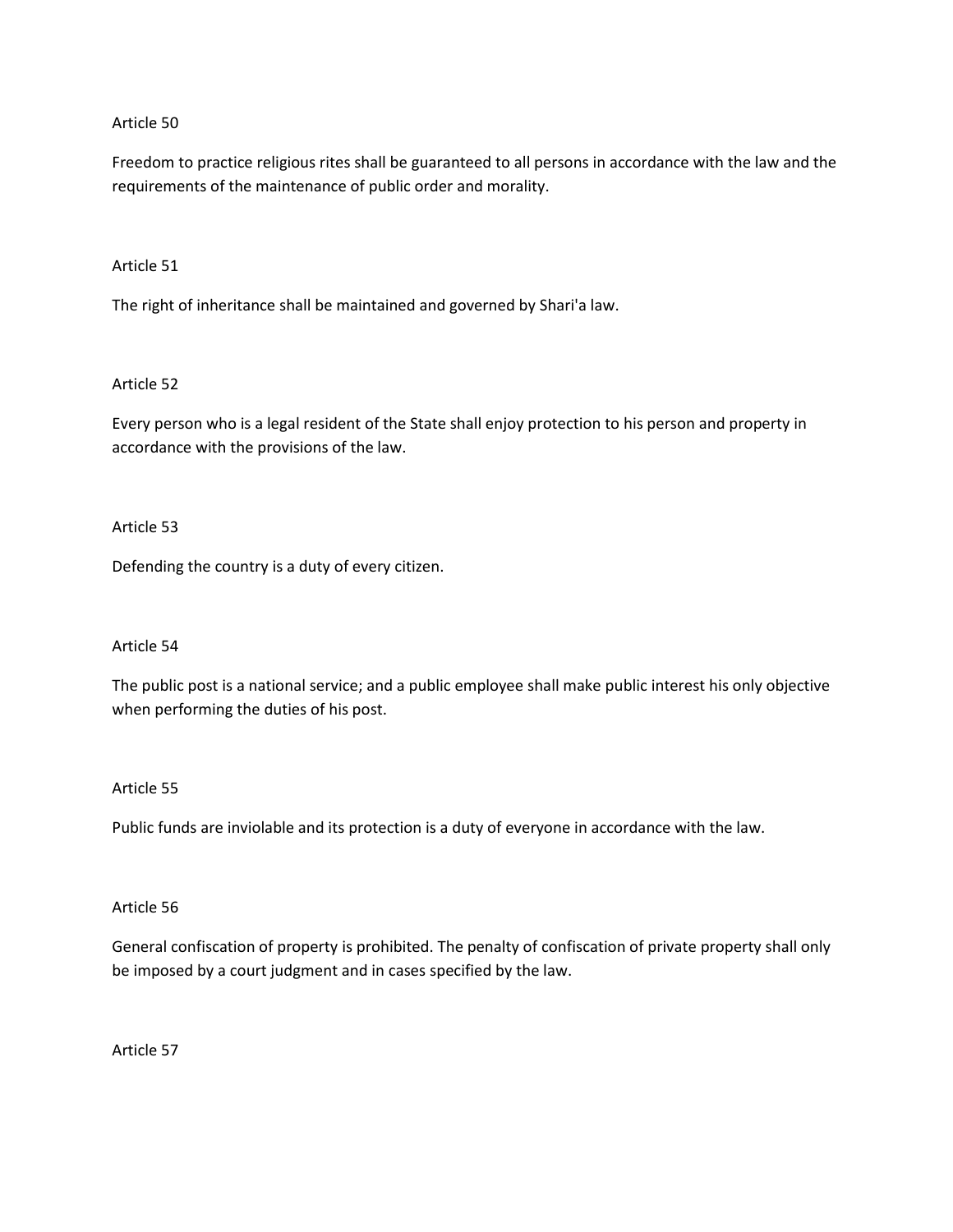Freedom to practice religious rites shall be guaranteed to all persons in accordance with the law and the requirements of the maintenance of public order and morality.

# Article 51

The right of inheritance shall be maintained and governed by Shari'a law.

# Article 52

Every person who is a legal resident of the State shall enjoy protection to his person and property in accordance with the provisions of the law.

# Article 53

Defending the country is a duty of every citizen.

# Article 54

The public post is a national service; and a public employee shall make public interest his only objective when performing the duties of his post.

# Article 55

Public funds are inviolable and its protection is a duty of everyone in accordance with the law.

# Article 56

General confiscation of property is prohibited. The penalty of confiscation of private property shall only be imposed by a court judgment and in cases specified by the law.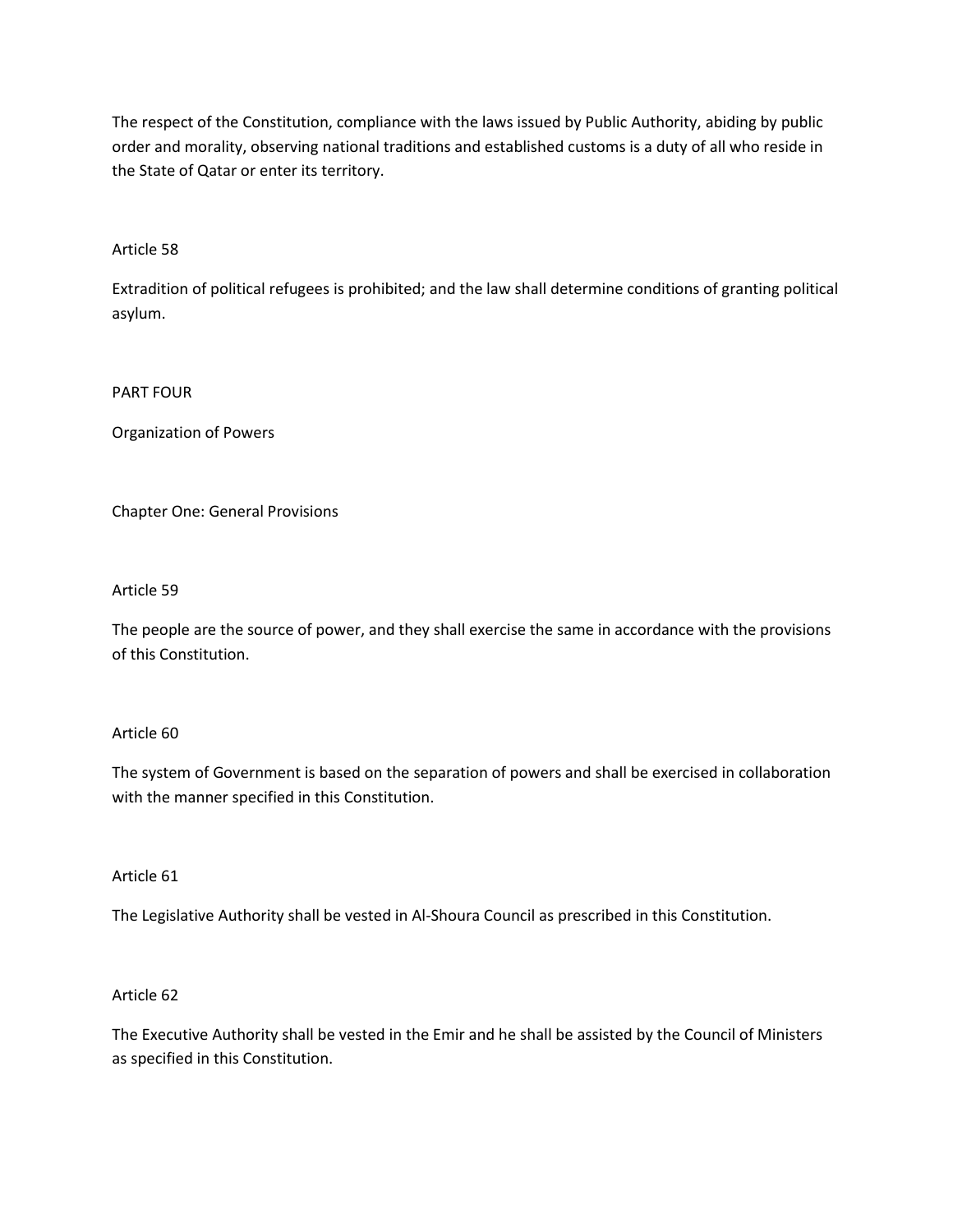The respect of the Constitution, compliance with the laws issued by Public Authority, abiding by public order and morality, observing national traditions and established customs is a duty of all who reside in the State of Qatar or enter its territory.

# Article 58

Extradition of political refugees is prohibited; and the law shall determine conditions of granting political asylum.

# PART FOUR

Organization of Powers

Chapter One: General Provisions

#### Article 59

The people are the source of power, and they shall exercise the same in accordance with the provisions of this Constitution.

# Article 60

The system of Government is based on the separation of powers and shall be exercised in collaboration with the manner specified in this Constitution.

# Article 61

The Legislative Authority shall be vested in Al-Shoura Council as prescribed in this Constitution.

# Article 62

The Executive Authority shall be vested in the Emir and he shall be assisted by the Council of Ministers as specified in this Constitution.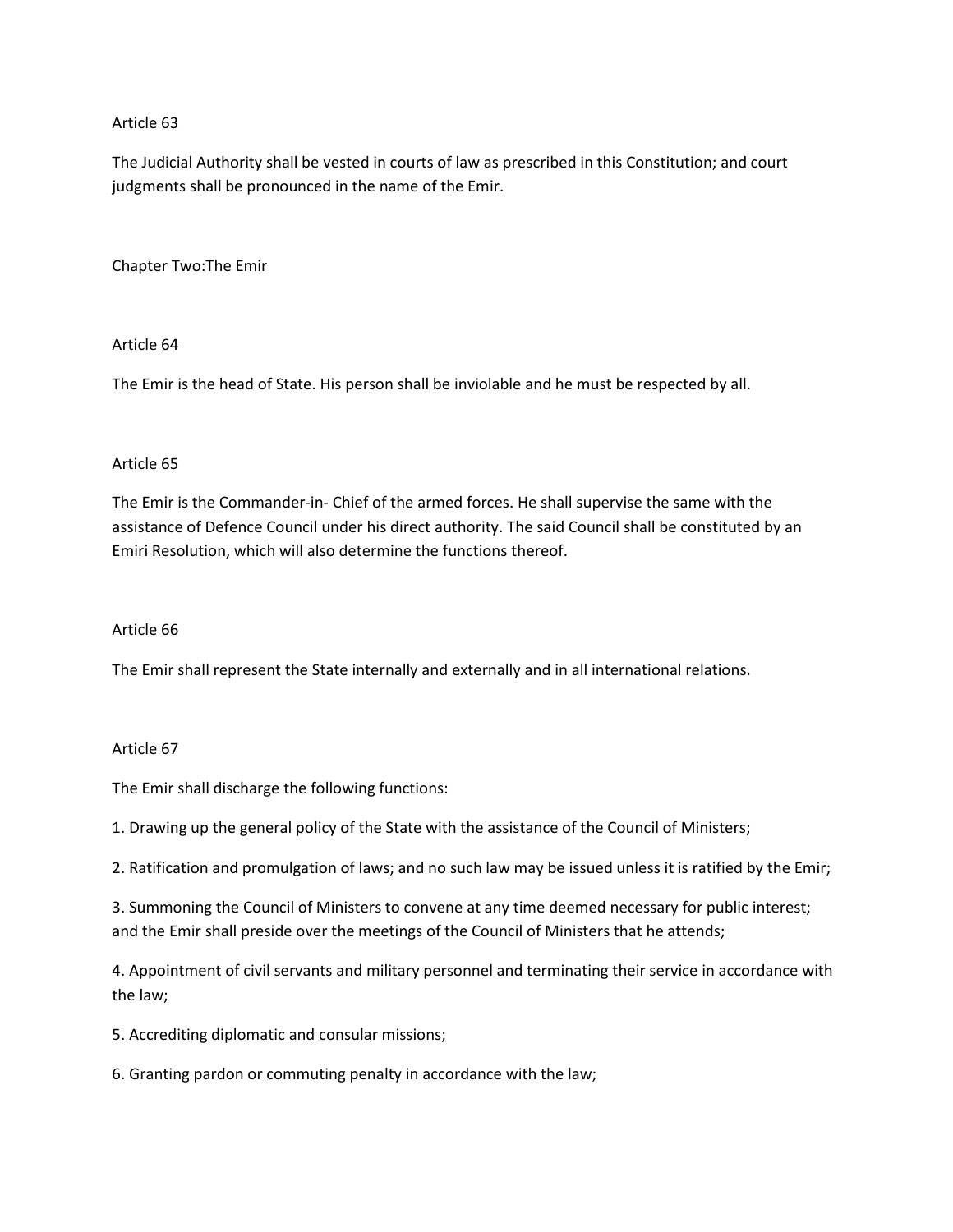The Judicial Authority shall be vested in courts of law as prescribed in this Constitution; and court judgments shall be pronounced in the name of the Emir.

#### Chapter Two:The Emir

#### Article 64

The Emir is the head of State. His person shall be inviolable and he must be respected by all.

#### Article 65

The Emir is the Commander-in- Chief of the armed forces. He shall supervise the same with the assistance of Defence Council under his direct authority. The said Council shall be constituted by an Emiri Resolution, which will also determine the functions thereof.

#### Article 66

The Emir shall represent the State internally and externally and in all international relations.

#### Article 67

The Emir shall discharge the following functions:

1. Drawing up the general policy of the State with the assistance of the Council of Ministers;

2. Ratification and promulgation of laws; and no such law may be issued unless it is ratified by the Emir;

3. Summoning the Council of Ministers to convene at any time deemed necessary for public interest; and the Emir shall preside over the meetings of the Council of Ministers that he attends;

4. Appointment of civil servants and military personnel and terminating their service in accordance with the law;

5. Accrediting diplomatic and consular missions;

6. Granting pardon or commuting penalty in accordance with the law;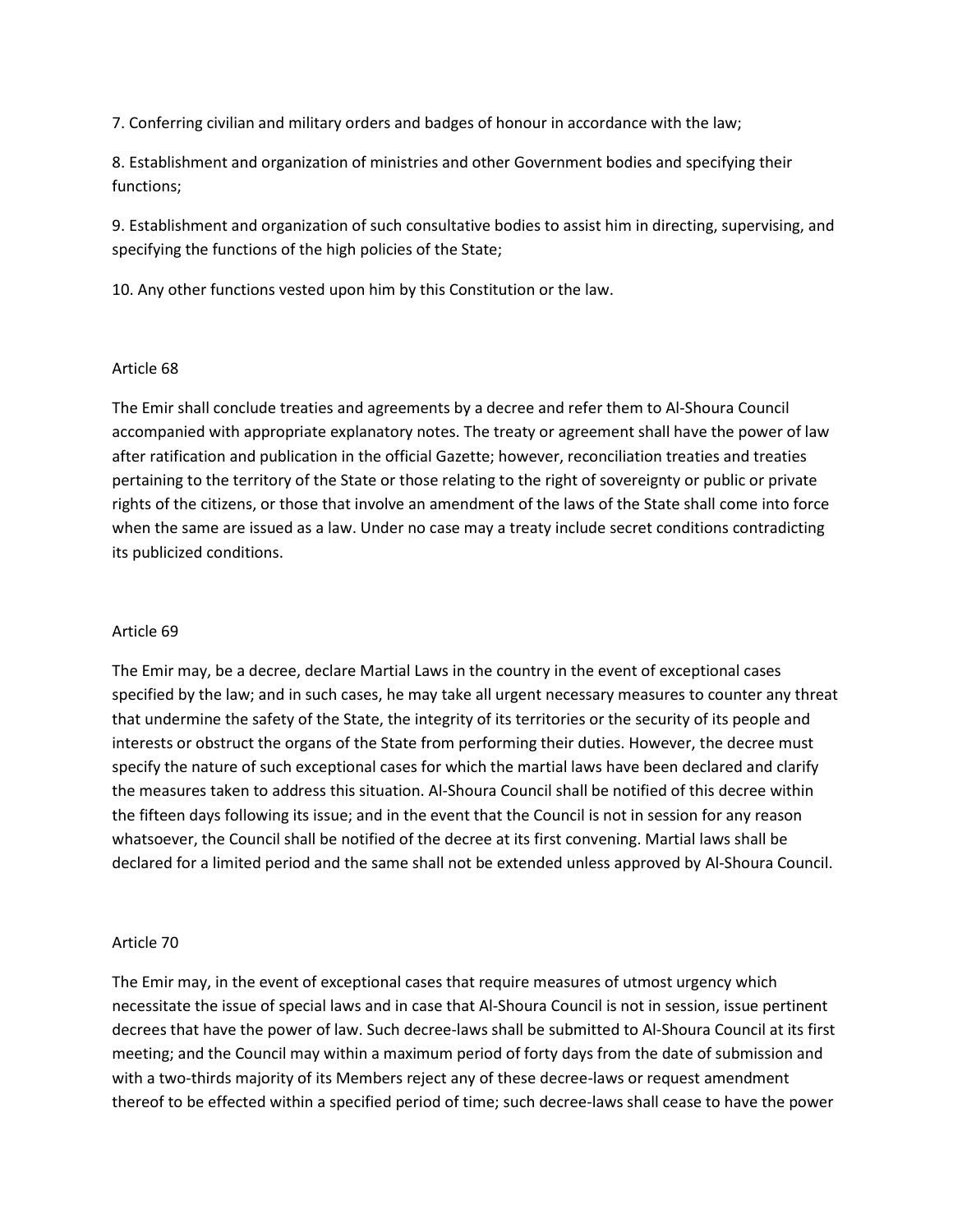7. Conferring civilian and military orders and badges of honour in accordance with the law;

8. Establishment and organization of ministries and other Government bodies and specifying their functions;

9. Establishment and organization of such consultative bodies to assist him in directing, supervising, and specifying the functions of the high policies of the State;

10. Any other functions vested upon him by this Constitution or the law.

# Article 68

The Emir shall conclude treaties and agreements by a decree and refer them to Al-Shoura Council accompanied with appropriate explanatory notes. The treaty or agreement shall have the power of law after ratification and publication in the official Gazette; however, reconciliation treaties and treaties pertaining to the territory of the State or those relating to the right of sovereignty or public or private rights of the citizens, or those that involve an amendment of the laws of the State shall come into force when the same are issued as a law. Under no case may a treaty include secret conditions contradicting its publicized conditions.

# Article 69

The Emir may, be a decree, declare Martial Laws in the country in the event of exceptional cases specified by the law; and in such cases, he may take all urgent necessary measures to counter any threat that undermine the safety of the State, the integrity of its territories or the security of its people and interests or obstruct the organs of the State from performing their duties. However, the decree must specify the nature of such exceptional cases for which the martial laws have been declared and clarify the measures taken to address this situation. Al-Shoura Council shall be notified of this decree within the fifteen days following its issue; and in the event that the Council is not in session for any reason whatsoever, the Council shall be notified of the decree at its first convening. Martial laws shall be declared for a limited period and the same shall not be extended unless approved by Al-Shoura Council.

# Article 70

The Emir may, in the event of exceptional cases that require measures of utmost urgency which necessitate the issue of special laws and in case that Al-Shoura Council is not in session, issue pertinent decrees that have the power of law. Such decree-laws shall be submitted to Al-Shoura Council at its first meeting; and the Council may within a maximum period of forty days from the date of submission and with a two-thirds majority of its Members reject any of these decree-laws or request amendment thereof to be effected within a specified period of time; such decree-laws shall cease to have the power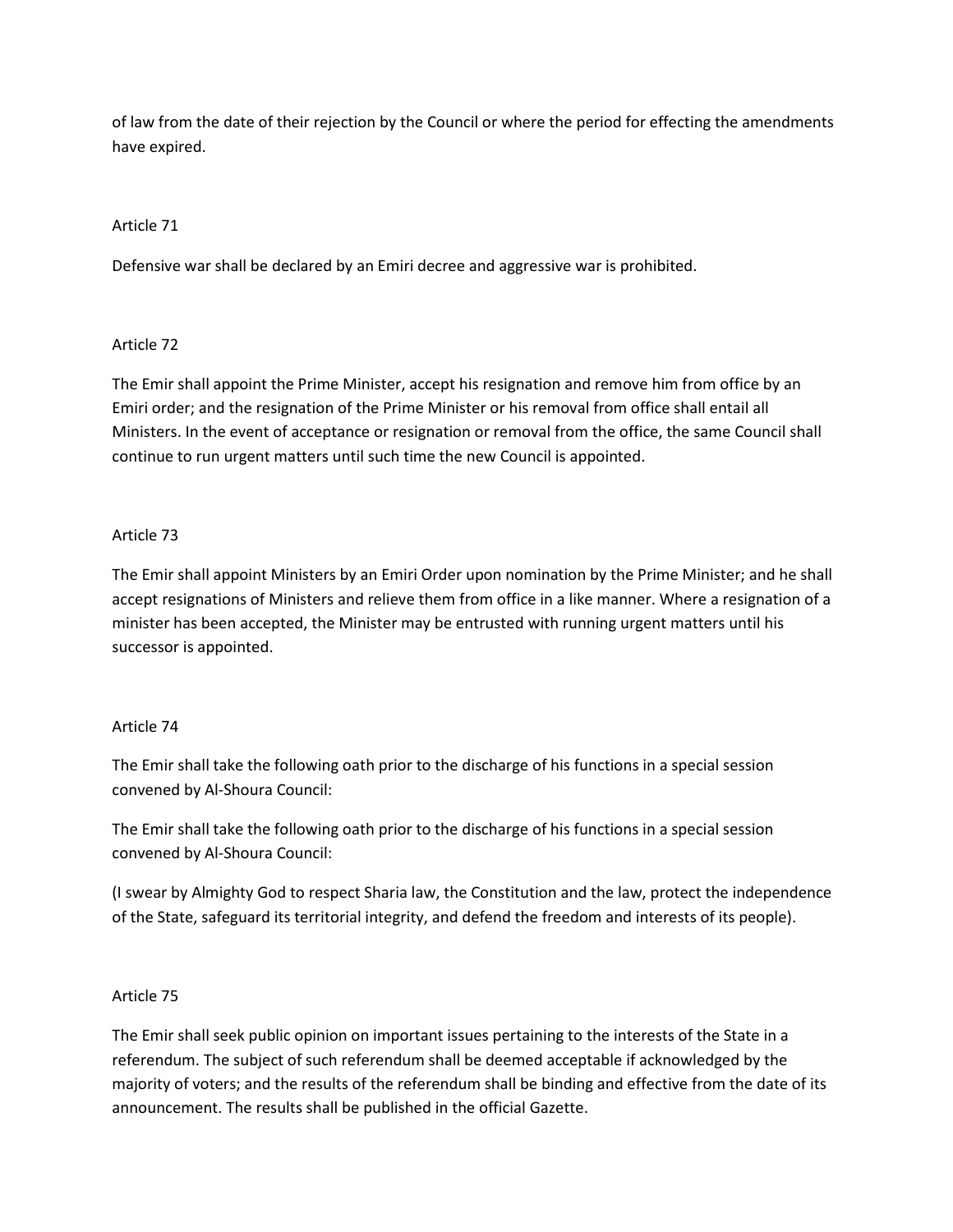of law from the date of their rejection by the Council or where the period for effecting the amendments have expired.

# Article 71

Defensive war shall be declared by an Emiri decree and aggressive war is prohibited.

# Article 72

The Emir shall appoint the Prime Minister, accept his resignation and remove him from office by an Emiri order; and the resignation of the Prime Minister or his removal from office shall entail all Ministers. In the event of acceptance or resignation or removal from the office, the same Council shall continue to run urgent matters until such time the new Council is appointed.

# Article 73

The Emir shall appoint Ministers by an Emiri Order upon nomination by the Prime Minister; and he shall accept resignations of Ministers and relieve them from office in a like manner. Where a resignation of a minister has been accepted, the Minister may be entrusted with running urgent matters until his successor is appointed.

# Article 74

The Emir shall take the following oath prior to the discharge of his functions in a special session convened by Al-Shoura Council:

The Emir shall take the following oath prior to the discharge of his functions in a special session convened by Al-Shoura Council:

(I swear by Almighty God to respect Sharia law, the Constitution and the law, protect the independence of the State, safeguard its territorial integrity, and defend the freedom and interests of its people).

# Article 75

The Emir shall seek public opinion on important issues pertaining to the interests of the State in a referendum. The subject of such referendum shall be deemed acceptable if acknowledged by the majority of voters; and the results of the referendum shall be binding and effective from the date of its announcement. The results shall be published in the official Gazette.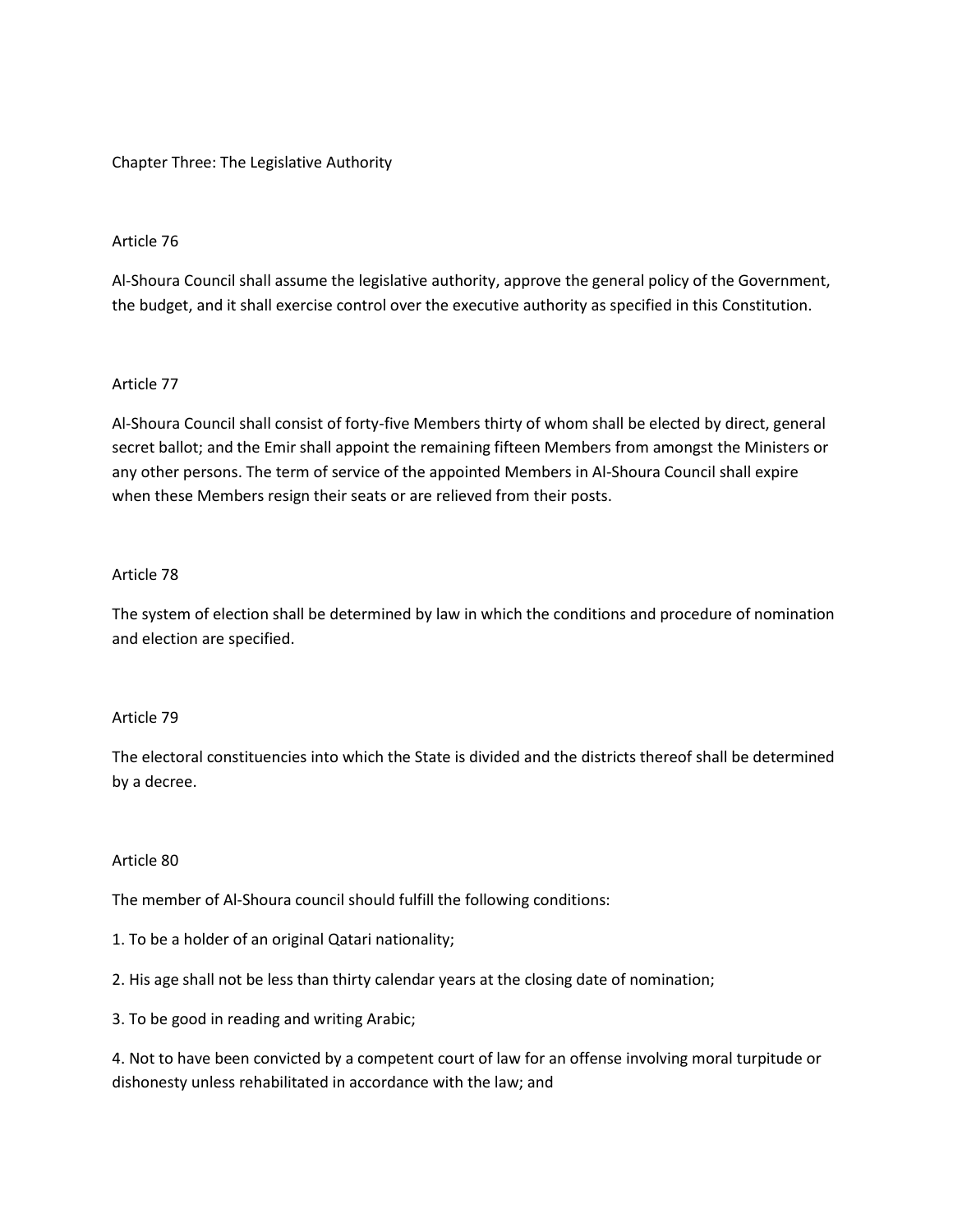# Chapter Three: The Legislative Authority

# Article 76

Al-Shoura Council shall assume the legislative authority, approve the general policy of the Government, the budget, and it shall exercise control over the executive authority as specified in this Constitution.

# Article 77

Al-Shoura Council shall consist of forty-five Members thirty of whom shall be elected by direct, general secret ballot; and the Emir shall appoint the remaining fifteen Members from amongst the Ministers or any other persons. The term of service of the appointed Members in Al-Shoura Council shall expire when these Members resign their seats or are relieved from their posts.

# Article 78

The system of election shall be determined by law in which the conditions and procedure of nomination and election are specified.

# Article 79

The electoral constituencies into which the State is divided and the districts thereof shall be determined by a decree.

# Article 80

The member of Al-Shoura council should fulfill the following conditions:

- 1. To be a holder of an original Qatari nationality;
- 2. His age shall not be less than thirty calendar years at the closing date of nomination;
- 3. To be good in reading and writing Arabic;

4. Not to have been convicted by a competent court of law for an offense involving moral turpitude or dishonesty unless rehabilitated in accordance with the law; and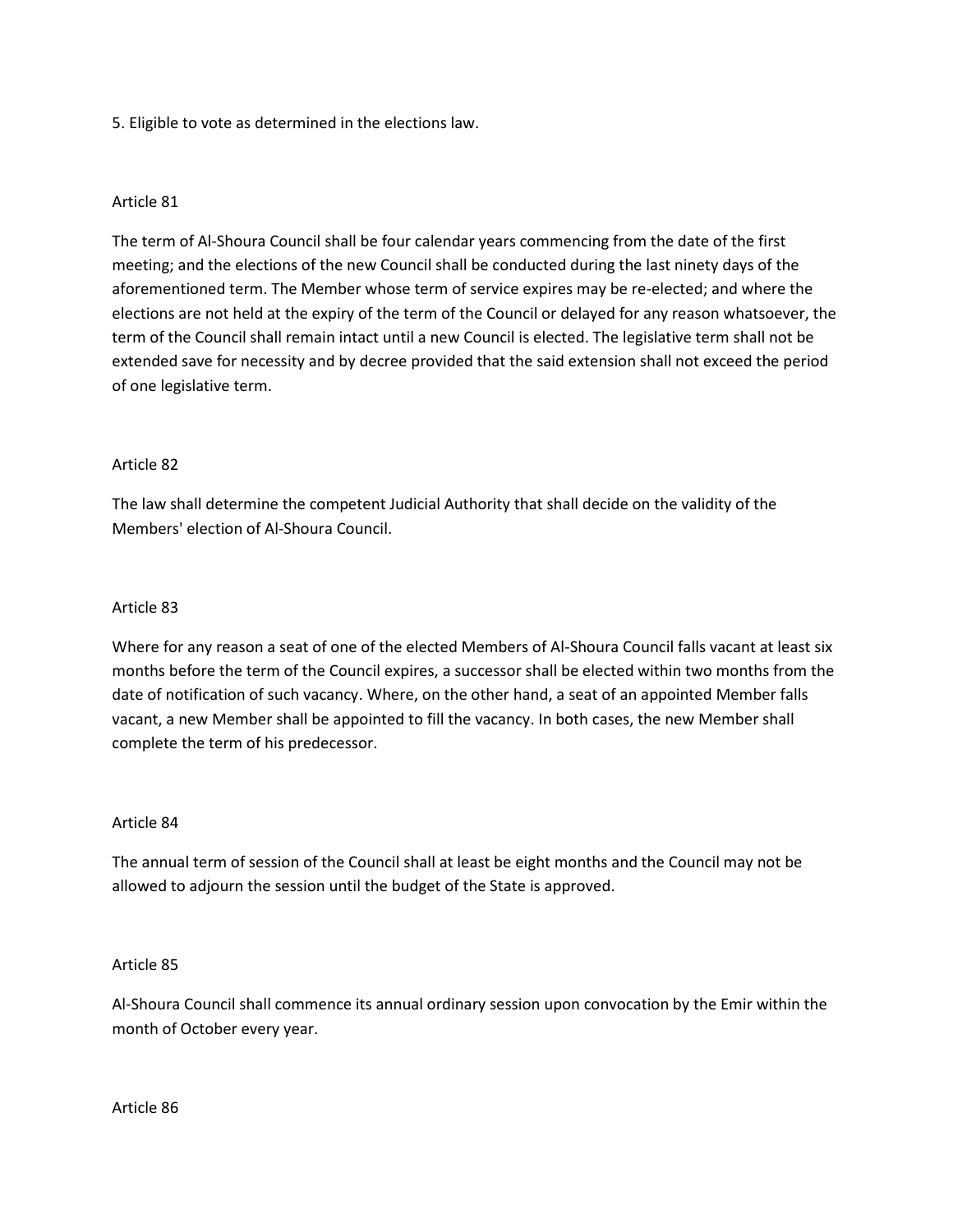5. Eligible to vote as determined in the elections law.

#### Article 81

The term of Al-Shoura Council shall be four calendar years commencing from the date of the first meeting; and the elections of the new Council shall be conducted during the last ninety days of the aforementioned term. The Member whose term of service expires may be re-elected; and where the elections are not held at the expiry of the term of the Council or delayed for any reason whatsoever, the term of the Council shall remain intact until a new Council is elected. The legislative term shall not be extended save for necessity and by decree provided that the said extension shall not exceed the period of one legislative term.

#### Article 82

The law shall determine the competent Judicial Authority that shall decide on the validity of the Members' election of Al-Shoura Council.

#### Article 83

Where for any reason a seat of one of the elected Members of Al-Shoura Council falls vacant at least six months before the term of the Council expires, a successor shall be elected within two months from the date of notification of such vacancy. Where, on the other hand, a seat of an appointed Member falls vacant, a new Member shall be appointed to fill the vacancy. In both cases, the new Member shall complete the term of his predecessor.

#### Article 84

The annual term of session of the Council shall at least be eight months and the Council may not be allowed to adjourn the session until the budget of the State is approved.

#### Article 85

Al-Shoura Council shall commence its annual ordinary session upon convocation by the Emir within the month of October every year.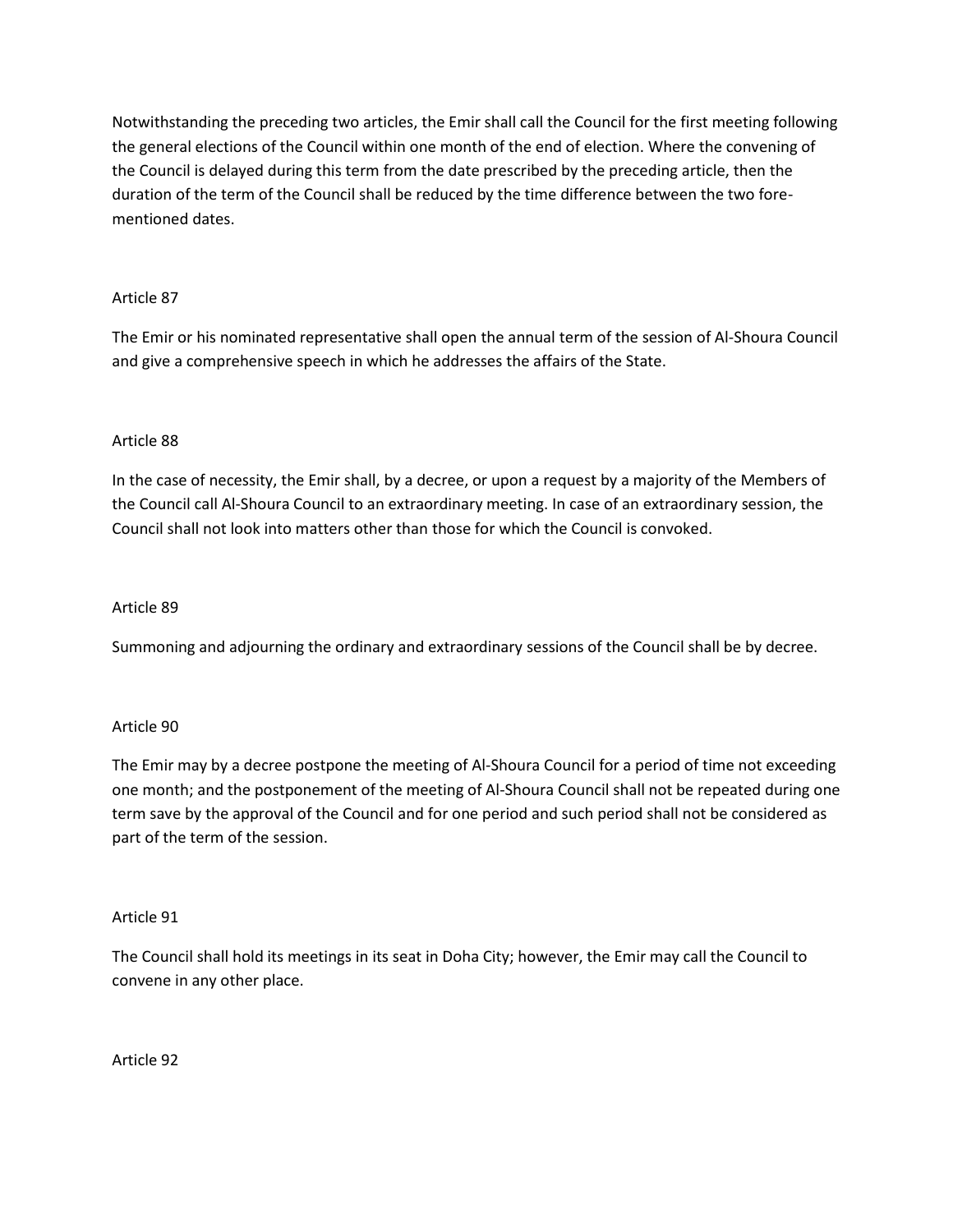Notwithstanding the preceding two articles, the Emir shall call the Council for the first meeting following the general elections of the Council within one month of the end of election. Where the convening of the Council is delayed during this term from the date prescribed by the preceding article, then the duration of the term of the Council shall be reduced by the time difference between the two forementioned dates.

# Article 87

The Emir or his nominated representative shall open the annual term of the session of Al-Shoura Council and give a comprehensive speech in which he addresses the affairs of the State.

# Article 88

In the case of necessity, the Emir shall, by a decree, or upon a request by a majority of the Members of the Council call Al-Shoura Council to an extraordinary meeting. In case of an extraordinary session, the Council shall not look into matters other than those for which the Council is convoked.

# Article 89

Summoning and adjourning the ordinary and extraordinary sessions of the Council shall be by decree.

# Article 90

The Emir may by a decree postpone the meeting of Al-Shoura Council for a period of time not exceeding one month; and the postponement of the meeting of Al-Shoura Council shall not be repeated during one term save by the approval of the Council and for one period and such period shall not be considered as part of the term of the session.

# Article 91

The Council shall hold its meetings in its seat in Doha City; however, the Emir may call the Council to convene in any other place.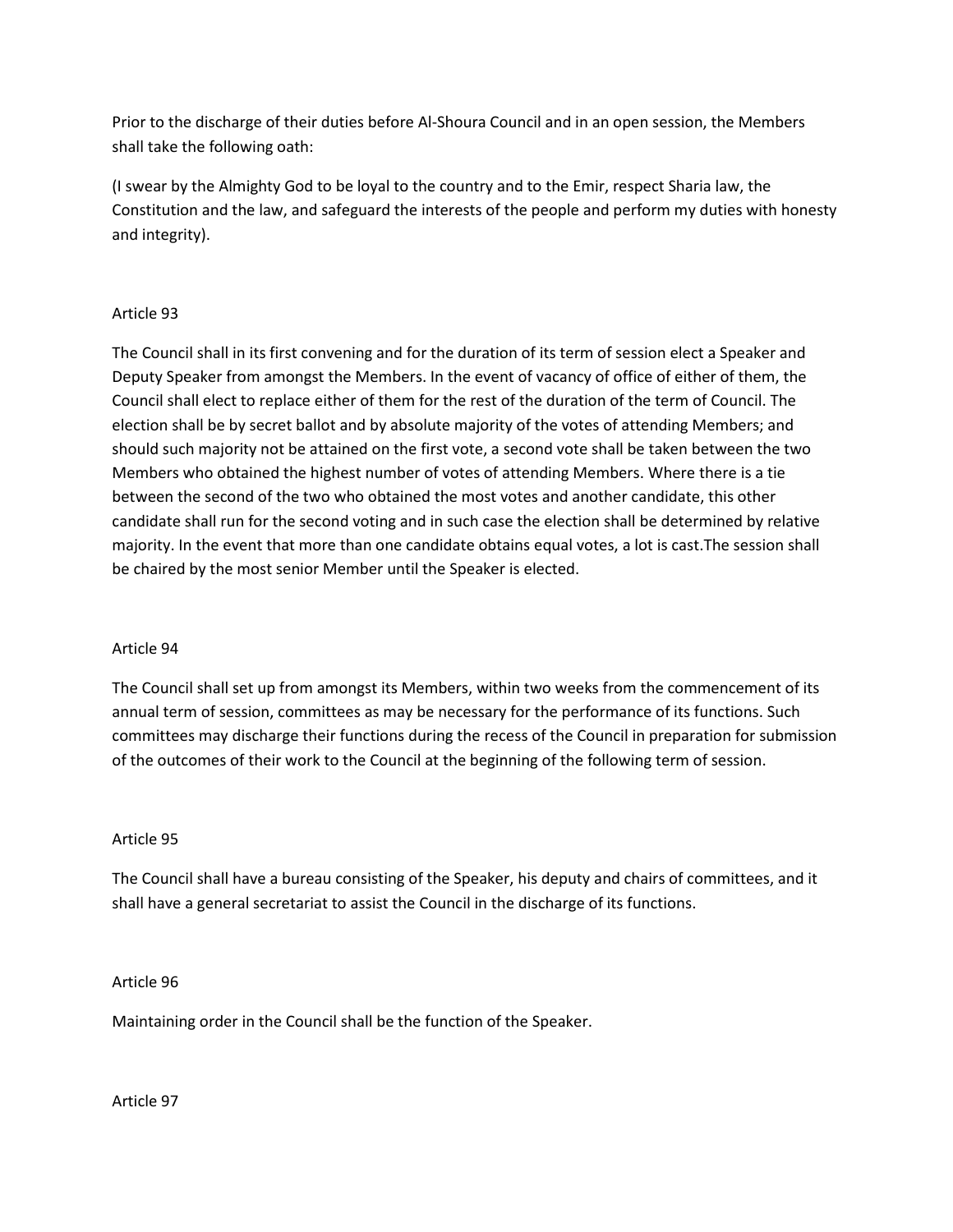Prior to the discharge of their duties before Al-Shoura Council and in an open session, the Members shall take the following oath:

(I swear by the Almighty God to be loyal to the country and to the Emir, respect Sharia law, the Constitution and the law, and safeguard the interests of the people and perform my duties with honesty and integrity).

# Article 93

The Council shall in its first convening and for the duration of its term of session elect a Speaker and Deputy Speaker from amongst the Members. In the event of vacancy of office of either of them, the Council shall elect to replace either of them for the rest of the duration of the term of Council. The election shall be by secret ballot and by absolute majority of the votes of attending Members; and should such majority not be attained on the first vote, a second vote shall be taken between the two Members who obtained the highest number of votes of attending Members. Where there is a tie between the second of the two who obtained the most votes and another candidate, this other candidate shall run for the second voting and in such case the election shall be determined by relative majority. In the event that more than one candidate obtains equal votes, a lot is cast.The session shall be chaired by the most senior Member until the Speaker is elected.

# Article 94

The Council shall set up from amongst its Members, within two weeks from the commencement of its annual term of session, committees as may be necessary for the performance of its functions. Such committees may discharge their functions during the recess of the Council in preparation for submission of the outcomes of their work to the Council at the beginning of the following term of session.

# Article 95

The Council shall have a bureau consisting of the Speaker, his deputy and chairs of committees, and it shall have a general secretariat to assist the Council in the discharge of its functions.

#### Article 96

Maintaining order in the Council shall be the function of the Speaker.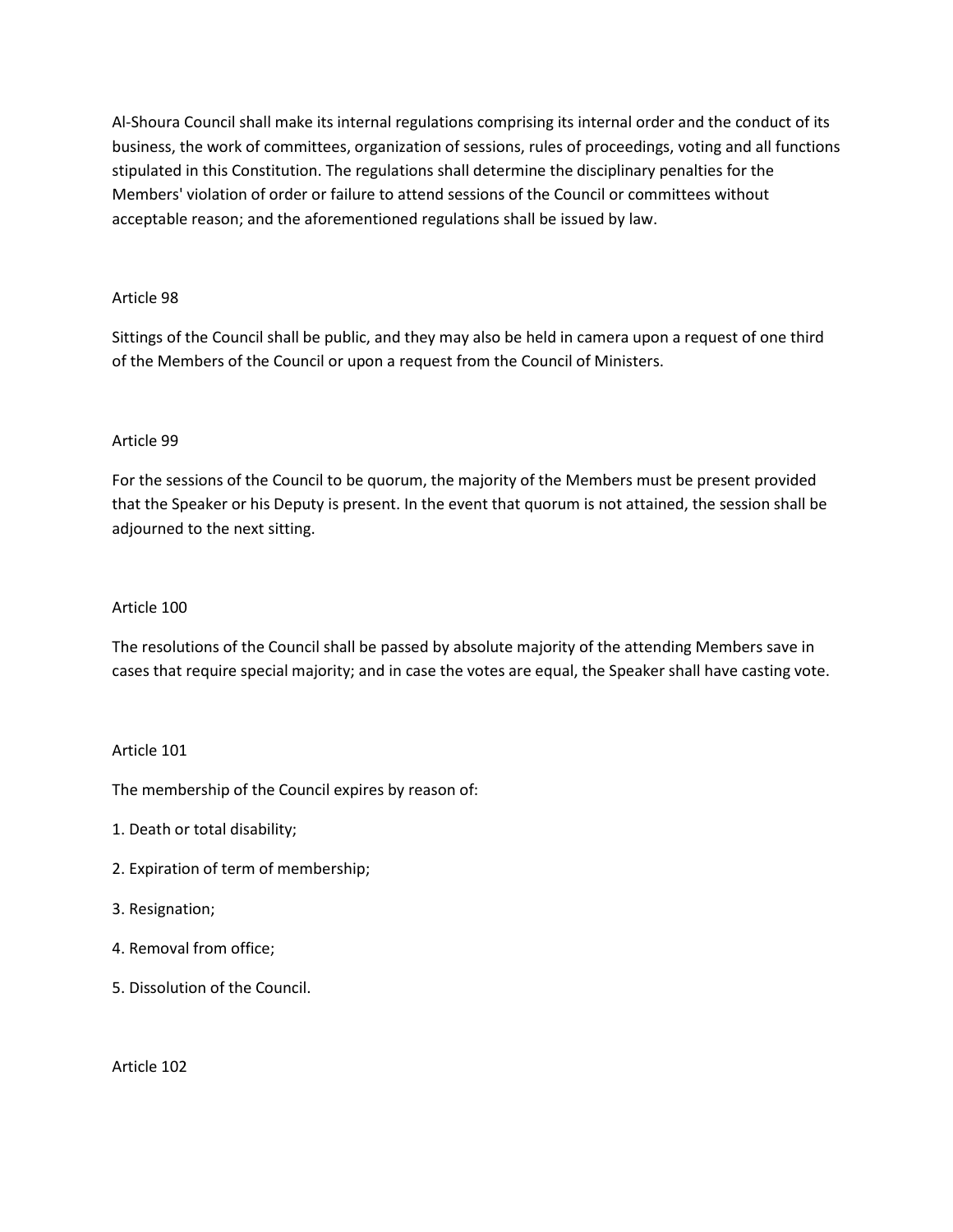Al-Shoura Council shall make its internal regulations comprising its internal order and the conduct of its business, the work of committees, organization of sessions, rules of proceedings, voting and all functions stipulated in this Constitution. The regulations shall determine the disciplinary penalties for the Members' violation of order or failure to attend sessions of the Council or committees without acceptable reason; and the aforementioned regulations shall be issued by law.

# Article 98

Sittings of the Council shall be public, and they may also be held in camera upon a request of one third of the Members of the Council or upon a request from the Council of Ministers.

# Article 99

For the sessions of the Council to be quorum, the majority of the Members must be present provided that the Speaker or his Deputy is present. In the event that quorum is not attained, the session shall be adjourned to the next sitting.

# Article 100

The resolutions of the Council shall be passed by absolute majority of the attending Members save in cases that require special majority; and in case the votes are equal, the Speaker shall have casting vote.

# Article 101

The membership of the Council expires by reason of:

- 1. Death or total disability;
- 2. Expiration of term of membership;
- 3. Resignation;
- 4. Removal from office;
- 5. Dissolution of the Council.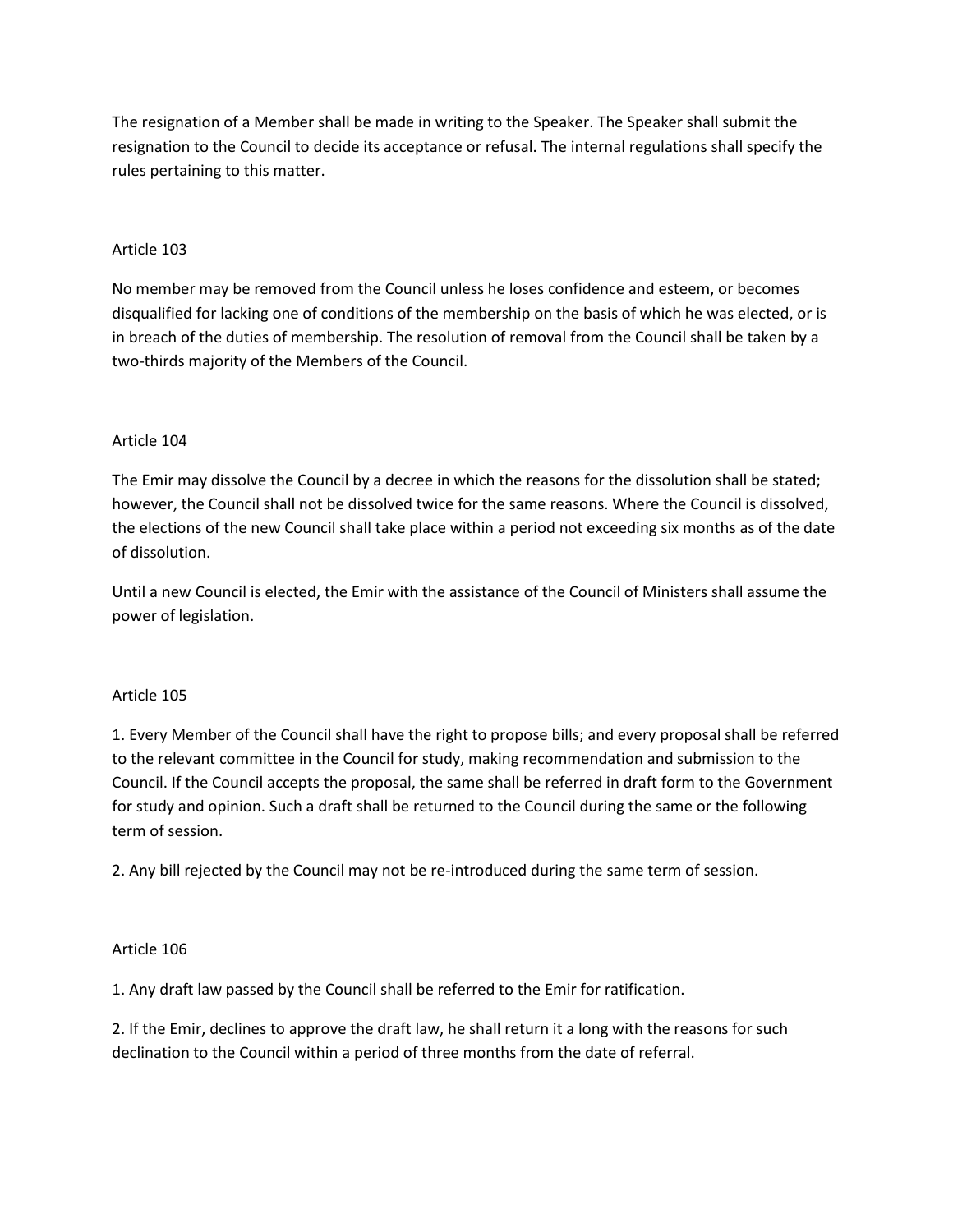The resignation of a Member shall be made in writing to the Speaker. The Speaker shall submit the resignation to the Council to decide its acceptance or refusal. The internal regulations shall specify the rules pertaining to this matter.

# Article 103

No member may be removed from the Council unless he loses confidence and esteem, or becomes disqualified for lacking one of conditions of the membership on the basis of which he was elected, or is in breach of the duties of membership. The resolution of removal from the Council shall be taken by a two-thirds majority of the Members of the Council.

# Article 104

The Emir may dissolve the Council by a decree in which the reasons for the dissolution shall be stated; however, the Council shall not be dissolved twice for the same reasons. Where the Council is dissolved, the elections of the new Council shall take place within a period not exceeding six months as of the date of dissolution.

Until a new Council is elected, the Emir with the assistance of the Council of Ministers shall assume the power of legislation.

# Article 105

1. Every Member of the Council shall have the right to propose bills; and every proposal shall be referred to the relevant committee in the Council for study, making recommendation and submission to the Council. If the Council accepts the proposal, the same shall be referred in draft form to the Government for study and opinion. Such a draft shall be returned to the Council during the same or the following term of session.

2. Any bill rejected by the Council may not be re-introduced during the same term of session.

# Article 106

1. Any draft law passed by the Council shall be referred to the Emir for ratification.

2. If the Emir, declines to approve the draft law, he shall return it a long with the reasons for such declination to the Council within a period of three months from the date of referral.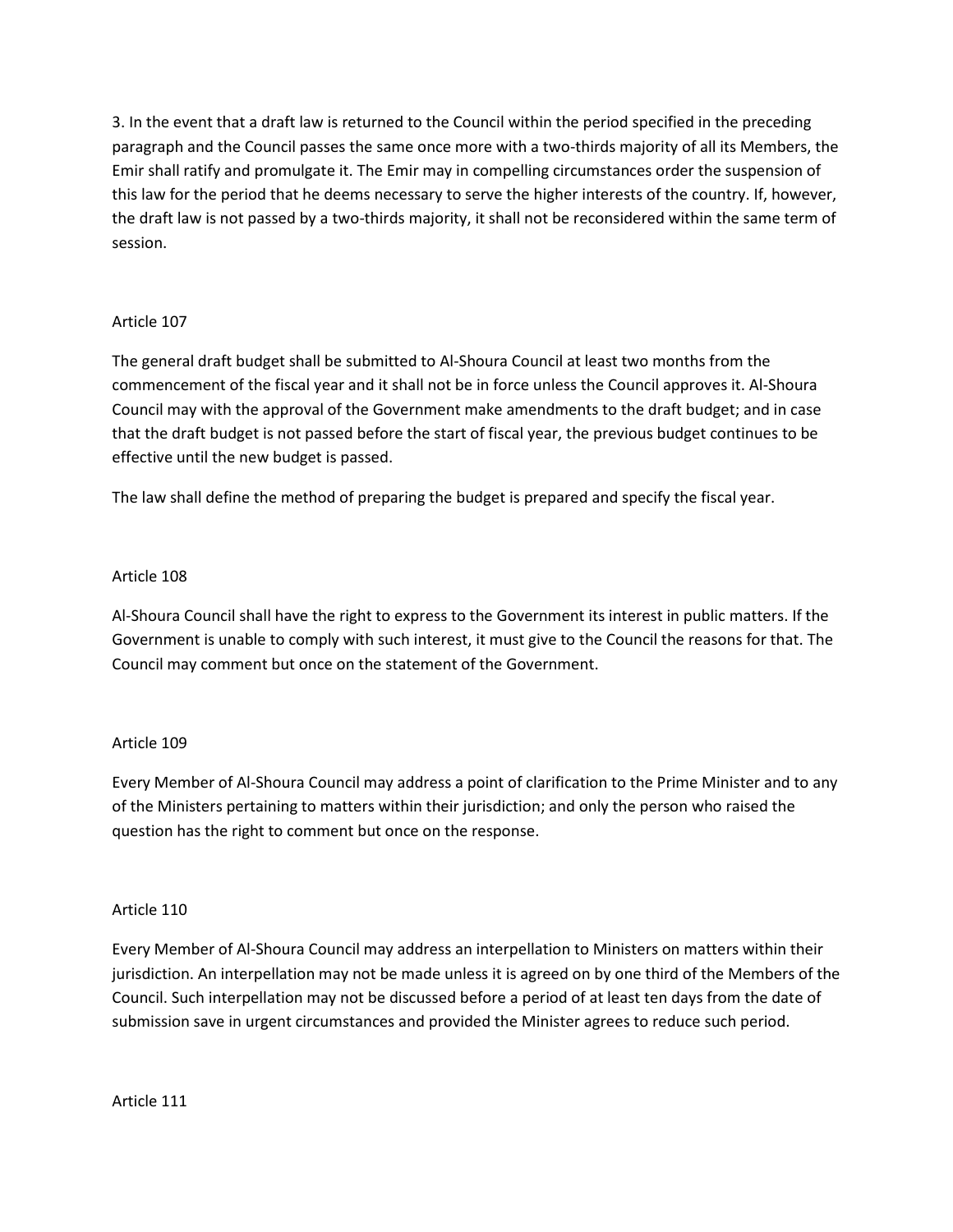3. In the event that a draft law is returned to the Council within the period specified in the preceding paragraph and the Council passes the same once more with a two-thirds majority of all its Members, the Emir shall ratify and promulgate it. The Emir may in compelling circumstances order the suspension of this law for the period that he deems necessary to serve the higher interests of the country. If, however, the draft law is not passed by a two-thirds majority, it shall not be reconsidered within the same term of session.

# Article 107

The general draft budget shall be submitted to Al-Shoura Council at least two months from the commencement of the fiscal year and it shall not be in force unless the Council approves it. Al-Shoura Council may with the approval of the Government make amendments to the draft budget; and in case that the draft budget is not passed before the start of fiscal year, the previous budget continues to be effective until the new budget is passed.

The law shall define the method of preparing the budget is prepared and specify the fiscal year.

# Article 108

Al-Shoura Council shall have the right to express to the Government its interest in public matters. If the Government is unable to comply with such interest, it must give to the Council the reasons for that. The Council may comment but once on the statement of the Government.

# Article 109

Every Member of Al-Shoura Council may address a point of clarification to the Prime Minister and to any of the Ministers pertaining to matters within their jurisdiction; and only the person who raised the question has the right to comment but once on the response.

# Article 110

Every Member of Al-Shoura Council may address an interpellation to Ministers on matters within their jurisdiction. An interpellation may not be made unless it is agreed on by one third of the Members of the Council. Such interpellation may not be discussed before a period of at least ten days from the date of submission save in urgent circumstances and provided the Minister agrees to reduce such period.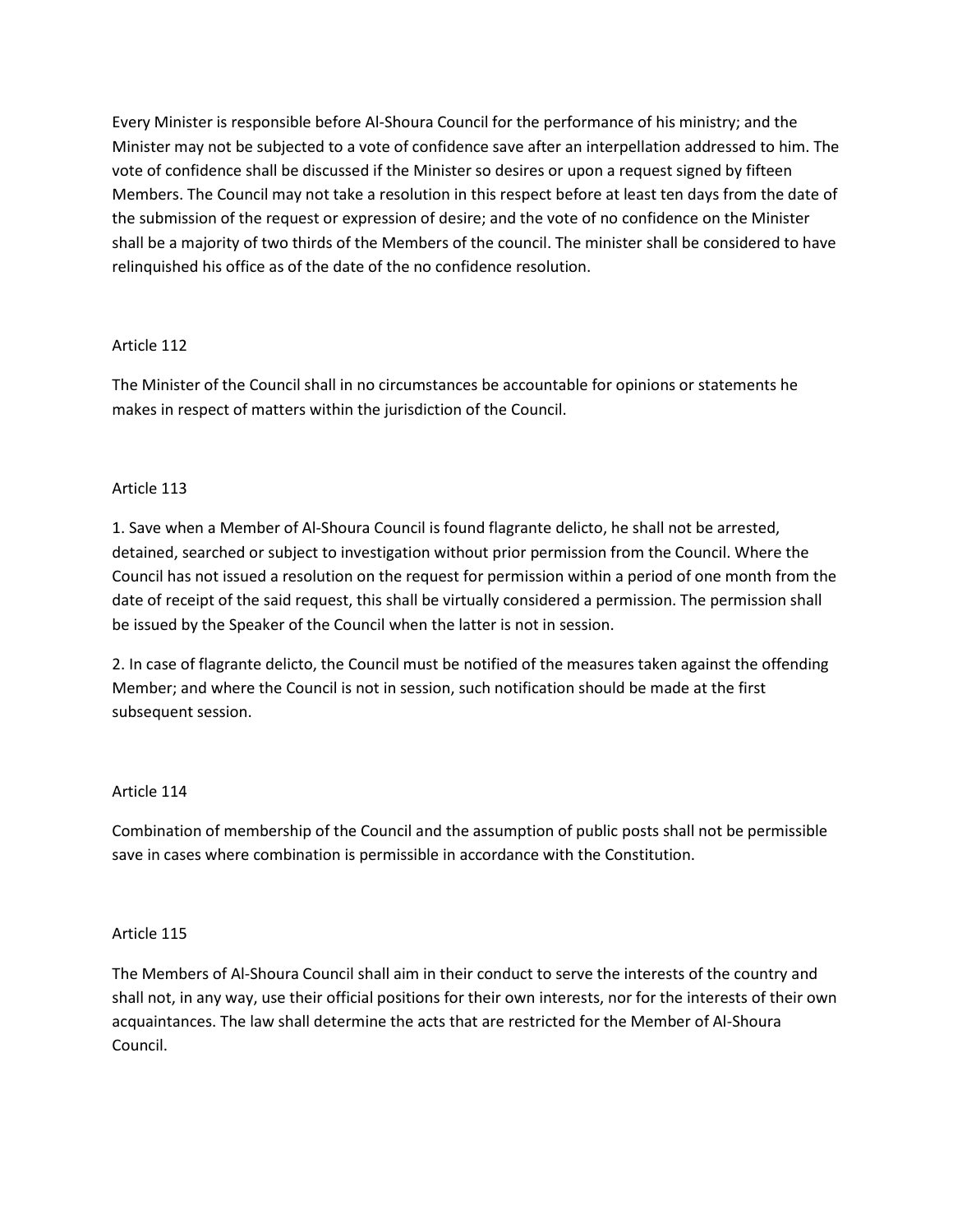Every Minister is responsible before Al-Shoura Council for the performance of his ministry; and the Minister may not be subjected to a vote of confidence save after an interpellation addressed to him. The vote of confidence shall be discussed if the Minister so desires or upon a request signed by fifteen Members. The Council may not take a resolution in this respect before at least ten days from the date of the submission of the request or expression of desire; and the vote of no confidence on the Minister shall be a majority of two thirds of the Members of the council. The minister shall be considered to have relinquished his office as of the date of the no confidence resolution.

# Article 112

The Minister of the Council shall in no circumstances be accountable for opinions or statements he makes in respect of matters within the jurisdiction of the Council.

# Article 113

1. Save when a Member of Al-Shoura Council is found flagrante delicto, he shall not be arrested, detained, searched or subject to investigation without prior permission from the Council. Where the Council has not issued a resolution on the request for permission within a period of one month from the date of receipt of the said request, this shall be virtually considered a permission. The permission shall be issued by the Speaker of the Council when the latter is not in session.

2. In case of flagrante delicto, the Council must be notified of the measures taken against the offending Member; and where the Council is not in session, such notification should be made at the first subsequent session.

# Article 114

Combination of membership of the Council and the assumption of public posts shall not be permissible save in cases where combination is permissible in accordance with the Constitution.

# Article 115

The Members of Al-Shoura Council shall aim in their conduct to serve the interests of the country and shall not, in any way, use their official positions for their own interests, nor for the interests of their own acquaintances. The law shall determine the acts that are restricted for the Member of Al-Shoura Council.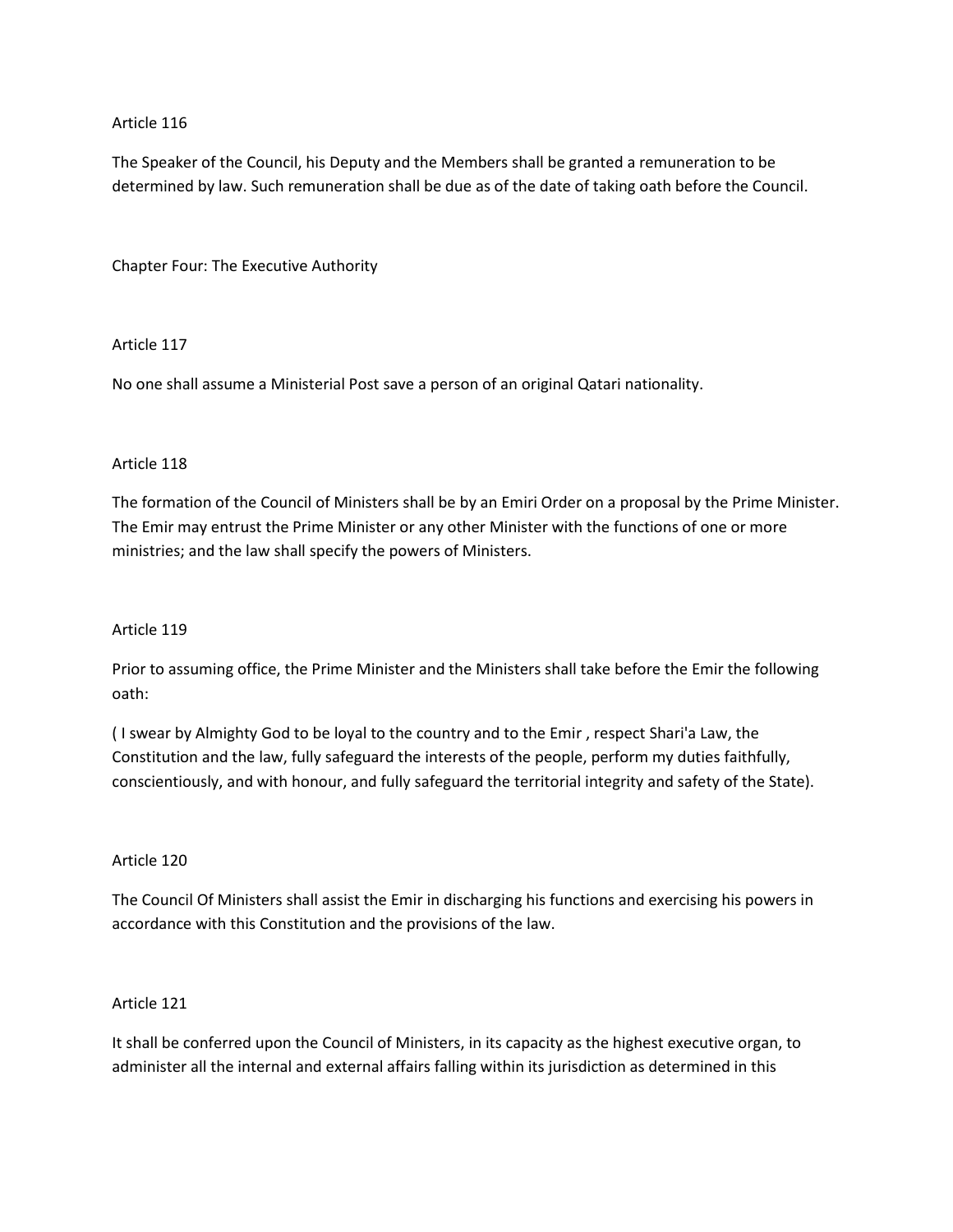The Speaker of the Council, his Deputy and the Members shall be granted a remuneration to be determined by law. Such remuneration shall be due as of the date of taking oath before the Council.

Chapter Four: The Executive Authority

#### Article 117

No one shall assume a Ministerial Post save a person of an original Qatari nationality.

#### Article 118

The formation of the Council of Ministers shall be by an Emiri Order on a proposal by the Prime Minister. The Emir may entrust the Prime Minister or any other Minister with the functions of one or more ministries; and the law shall specify the powers of Ministers.

#### Article 119

Prior to assuming office, the Prime Minister and the Ministers shall take before the Emir the following oath:

( I swear by Almighty God to be loyal to the country and to the Emir , respect Shari'a Law, the Constitution and the law, fully safeguard the interests of the people, perform my duties faithfully, conscientiously, and with honour, and fully safeguard the territorial integrity and safety of the State).

#### Article 120

The Council Of Ministers shall assist the Emir in discharging his functions and exercising his powers in accordance with this Constitution and the provisions of the law.

#### Article 121

It shall be conferred upon the Council of Ministers, in its capacity as the highest executive organ, to administer all the internal and external affairs falling within its jurisdiction as determined in this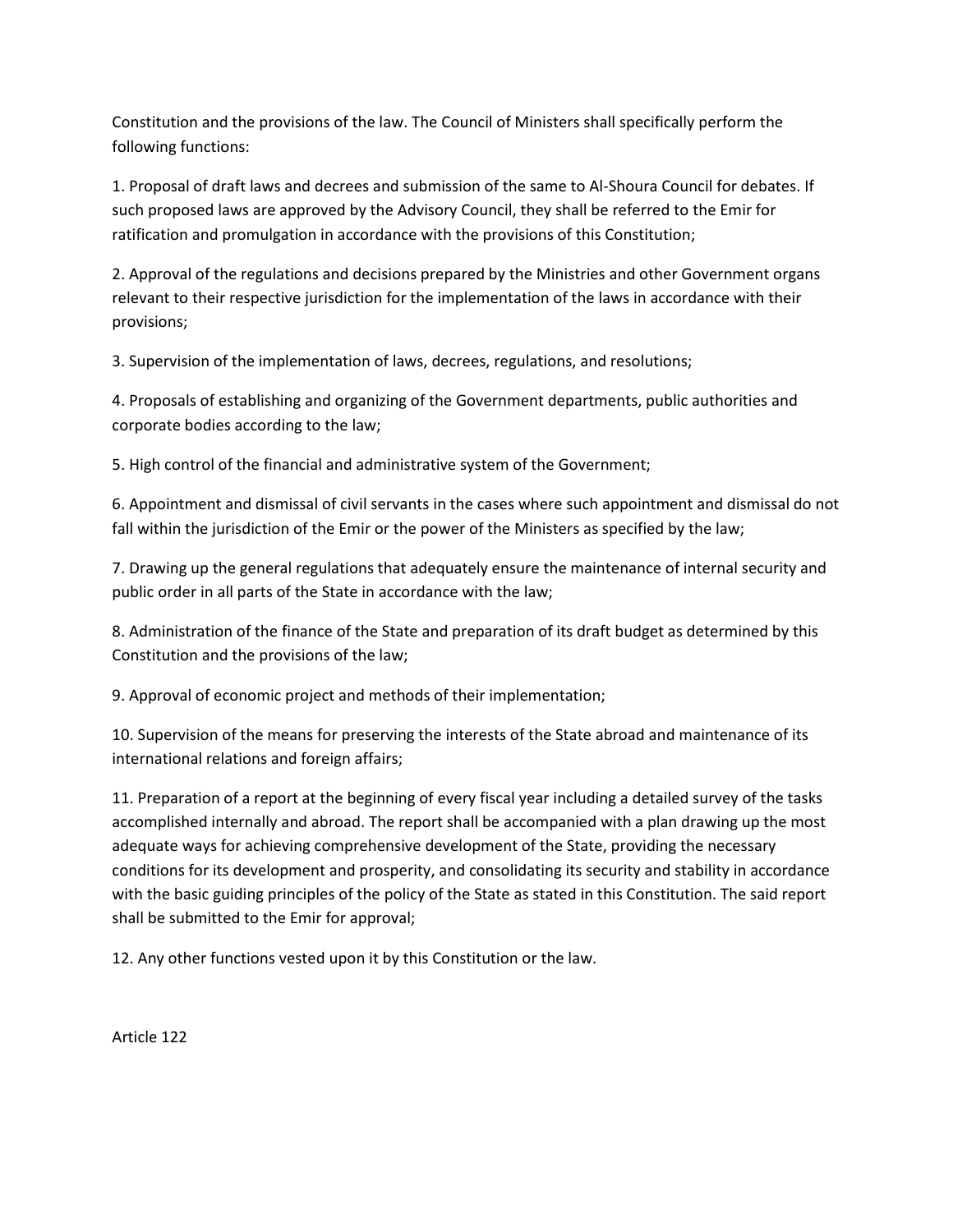Constitution and the provisions of the law. The Council of Ministers shall specifically perform the following functions:

1. Proposal of draft laws and decrees and submission of the same to Al-Shoura Council for debates. If such proposed laws are approved by the Advisory Council, they shall be referred to the Emir for ratification and promulgation in accordance with the provisions of this Constitution;

2. Approval of the regulations and decisions prepared by the Ministries and other Government organs relevant to their respective jurisdiction for the implementation of the laws in accordance with their provisions;

3. Supervision of the implementation of laws, decrees, regulations, and resolutions;

4. Proposals of establishing and organizing of the Government departments, public authorities and corporate bodies according to the law;

5. High control of the financial and administrative system of the Government;

6. Appointment and dismissal of civil servants in the cases where such appointment and dismissal do not fall within the jurisdiction of the Emir or the power of the Ministers as specified by the law;

7. Drawing up the general regulations that adequately ensure the maintenance of internal security and public order in all parts of the State in accordance with the law;

8. Administration of the finance of the State and preparation of its draft budget as determined by this Constitution and the provisions of the law;

9. Approval of economic project and methods of their implementation;

10. Supervision of the means for preserving the interests of the State abroad and maintenance of its international relations and foreign affairs;

11. Preparation of a report at the beginning of every fiscal year including a detailed survey of the tasks accomplished internally and abroad. The report shall be accompanied with a plan drawing up the most adequate ways for achieving comprehensive development of the State, providing the necessary conditions for its development and prosperity, and consolidating its security and stability in accordance with the basic guiding principles of the policy of the State as stated in this Constitution. The said report shall be submitted to the Emir for approval;

12. Any other functions vested upon it by this Constitution or the law.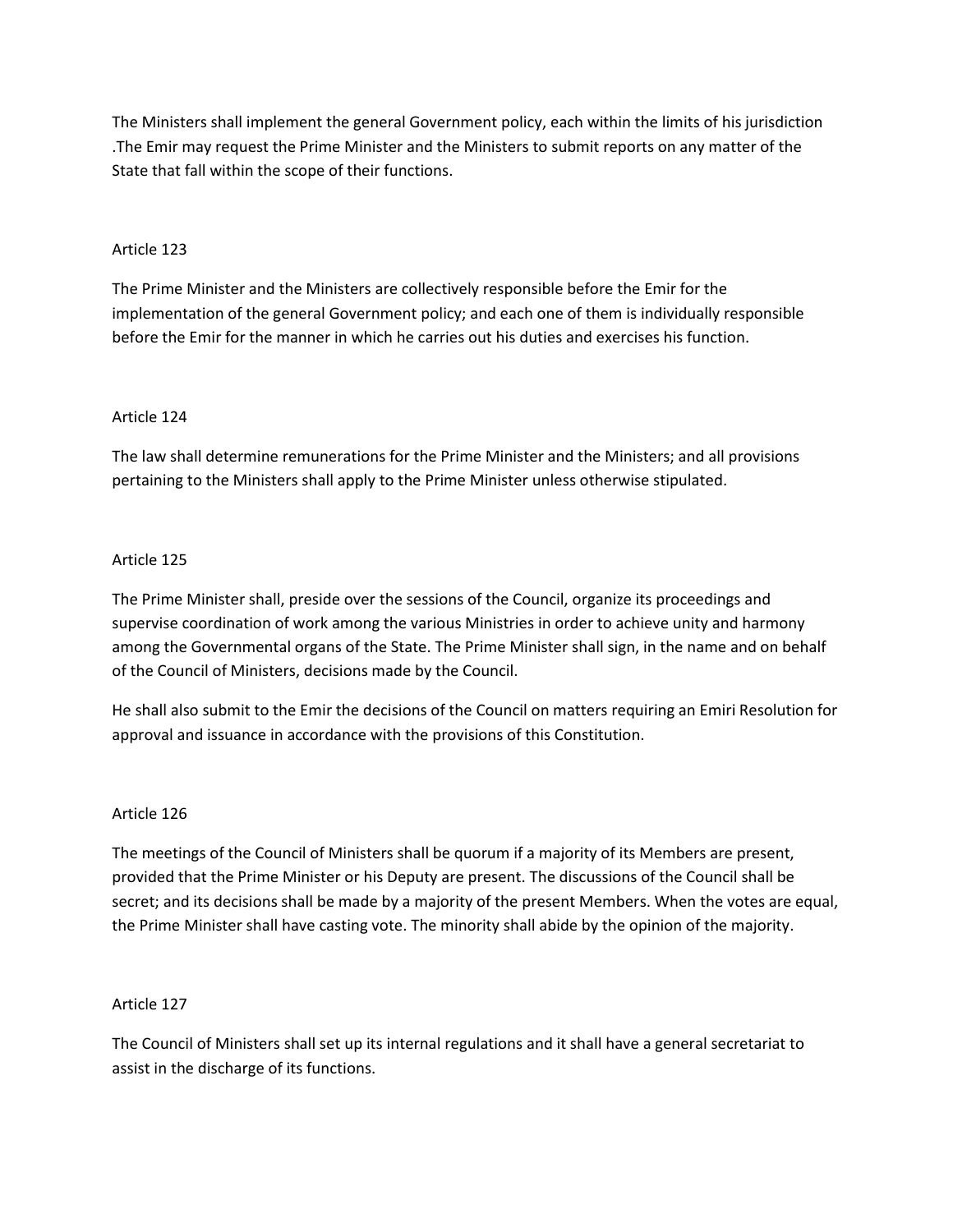The Ministers shall implement the general Government policy, each within the limits of his jurisdiction .The Emir may request the Prime Minister and the Ministers to submit reports on any matter of the State that fall within the scope of their functions.

# Article 123

The Prime Minister and the Ministers are collectively responsible before the Emir for the implementation of the general Government policy; and each one of them is individually responsible before the Emir for the manner in which he carries out his duties and exercises his function.

# Article 124

The law shall determine remunerations for the Prime Minister and the Ministers; and all provisions pertaining to the Ministers shall apply to the Prime Minister unless otherwise stipulated.

# Article 125

The Prime Minister shall, preside over the sessions of the Council, organize its proceedings and supervise coordination of work among the various Ministries in order to achieve unity and harmony among the Governmental organs of the State. The Prime Minister shall sign, in the name and on behalf of the Council of Ministers, decisions made by the Council.

He shall also submit to the Emir the decisions of the Council on matters requiring an Emiri Resolution for approval and issuance in accordance with the provisions of this Constitution.

# Article 126

The meetings of the Council of Ministers shall be quorum if a majority of its Members are present, provided that the Prime Minister or his Deputy are present. The discussions of the Council shall be secret; and its decisions shall be made by a majority of the present Members. When the votes are equal, the Prime Minister shall have casting vote. The minority shall abide by the opinion of the majority.

# Article 127

The Council of Ministers shall set up its internal regulations and it shall have a general secretariat to assist in the discharge of its functions.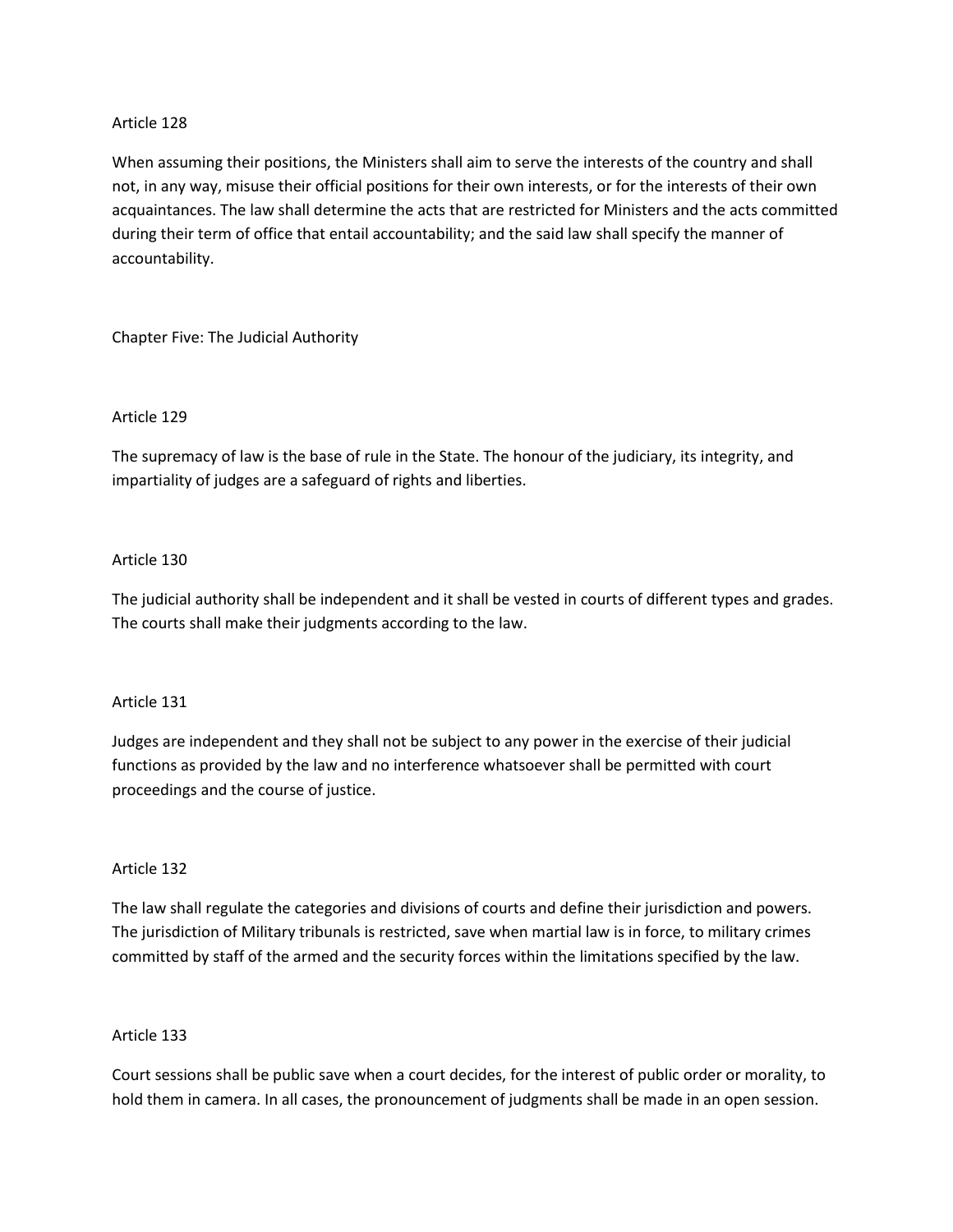When assuming their positions, the Ministers shall aim to serve the interests of the country and shall not, in any way, misuse their official positions for their own interests, or for the interests of their own acquaintances. The law shall determine the acts that are restricted for Ministers and the acts committed during their term of office that entail accountability; and the said law shall specify the manner of accountability.

Chapter Five: The Judicial Authority

#### Article 129

The supremacy of law is the base of rule in the State. The honour of the judiciary, its integrity, and impartiality of judges are a safeguard of rights and liberties.

# Article 130

The judicial authority shall be independent and it shall be vested in courts of different types and grades. The courts shall make their judgments according to the law.

#### Article 131

Judges are independent and they shall not be subject to any power in the exercise of their judicial functions as provided by the law and no interference whatsoever shall be permitted with court proceedings and the course of justice.

#### Article 132

The law shall regulate the categories and divisions of courts and define their jurisdiction and powers. The jurisdiction of Military tribunals is restricted, save when martial law is in force, to military crimes committed by staff of the armed and the security forces within the limitations specified by the law.

#### Article 133

Court sessions shall be public save when a court decides, for the interest of public order or morality, to hold them in camera. In all cases, the pronouncement of judgments shall be made in an open session.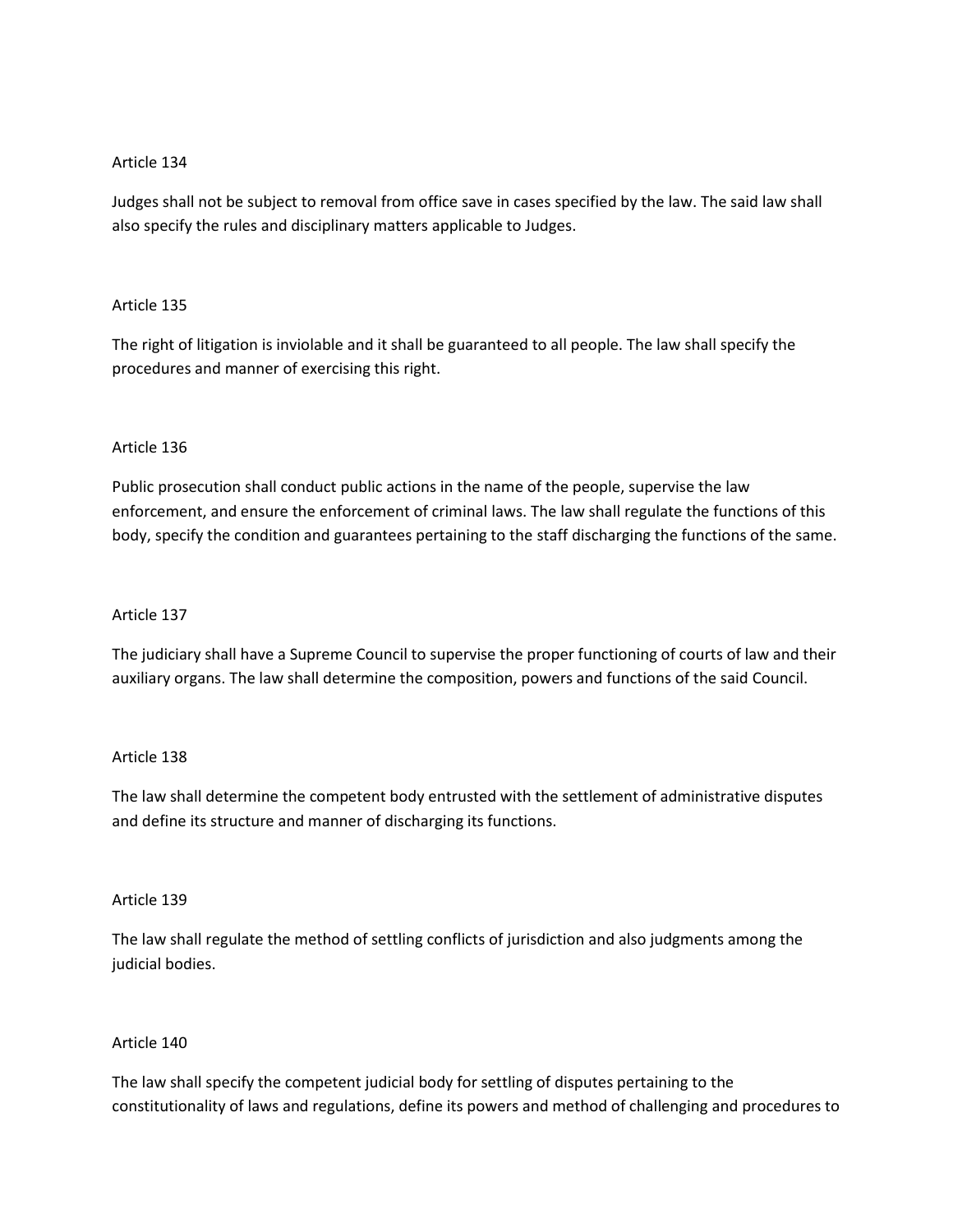Judges shall not be subject to removal from office save in cases specified by the law. The said law shall also specify the rules and disciplinary matters applicable to Judges.

#### Article 135

The right of litigation is inviolable and it shall be guaranteed to all people. The law shall specify the procedures and manner of exercising this right.

#### Article 136

Public prosecution shall conduct public actions in the name of the people, supervise the law enforcement, and ensure the enforcement of criminal laws. The law shall regulate the functions of this body, specify the condition and guarantees pertaining to the staff discharging the functions of the same.

#### Article 137

The judiciary shall have a Supreme Council to supervise the proper functioning of courts of law and their auxiliary organs. The law shall determine the composition, powers and functions of the said Council.

#### Article 138

The law shall determine the competent body entrusted with the settlement of administrative disputes and define its structure and manner of discharging its functions.

#### Article 139

The law shall regulate the method of settling conflicts of jurisdiction and also judgments among the judicial bodies.

#### Article 140

The law shall specify the competent judicial body for settling of disputes pertaining to the constitutionality of laws and regulations, define its powers and method of challenging and procedures to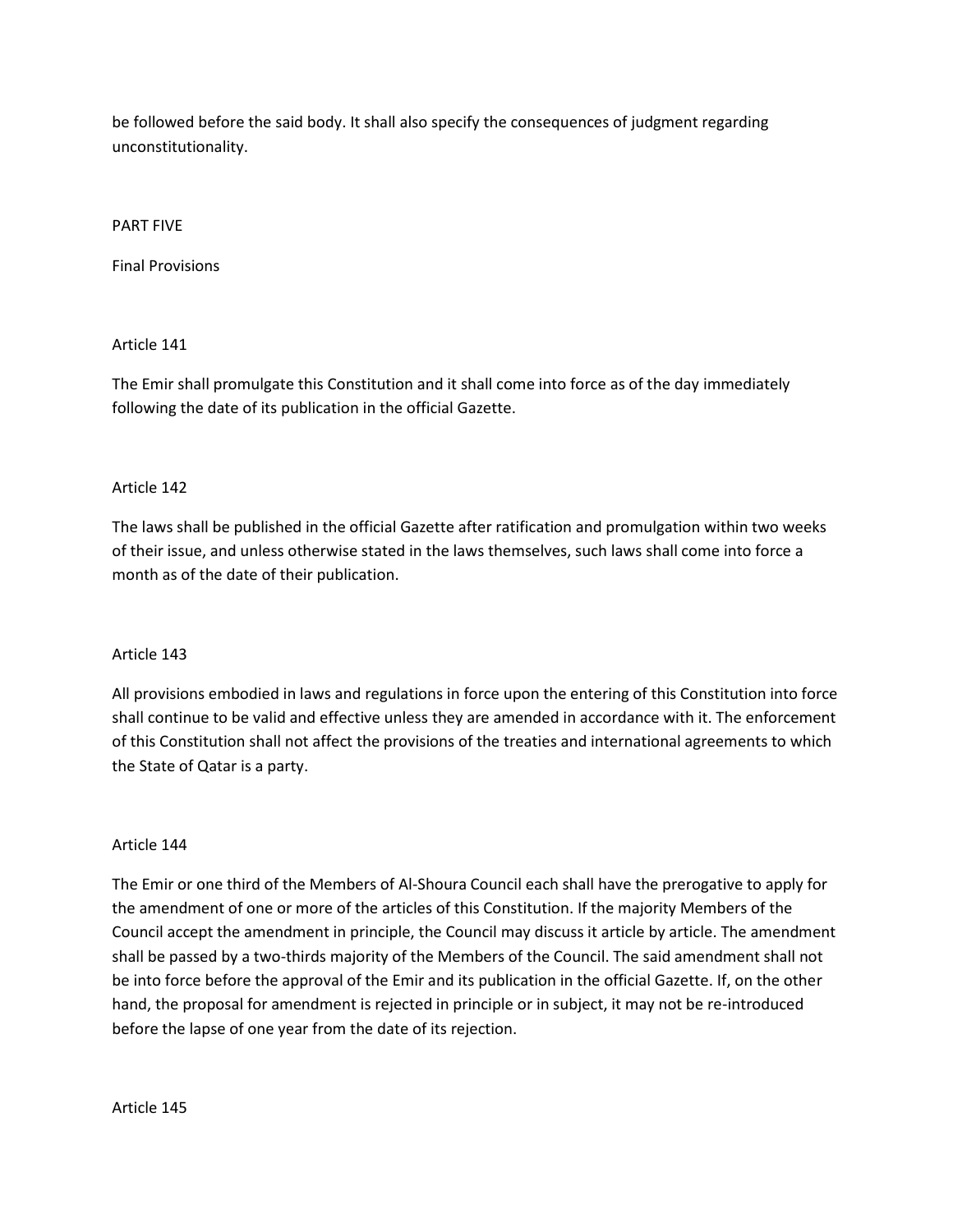be followed before the said body. It shall also specify the consequences of judgment regarding unconstitutionality.

# PART FIVE

Final Provisions

# Article 141

The Emir shall promulgate this Constitution and it shall come into force as of the day immediately following the date of its publication in the official Gazette.

# Article 142

The laws shall be published in the official Gazette after ratification and promulgation within two weeks of their issue, and unless otherwise stated in the laws themselves, such laws shall come into force a month as of the date of their publication.

# Article 143

All provisions embodied in laws and regulations in force upon the entering of this Constitution into force shall continue to be valid and effective unless they are amended in accordance with it. The enforcement of this Constitution shall not affect the provisions of the treaties and international agreements to which the State of Qatar is a party.

#### Article 144

The Emir or one third of the Members of Al-Shoura Council each shall have the prerogative to apply for the amendment of one or more of the articles of this Constitution. If the majority Members of the Council accept the amendment in principle, the Council may discuss it article by article. The amendment shall be passed by a two-thirds majority of the Members of the Council. The said amendment shall not be into force before the approval of the Emir and its publication in the official Gazette. If, on the other hand, the proposal for amendment is rejected in principle or in subject, it may not be re-introduced before the lapse of one year from the date of its rejection.